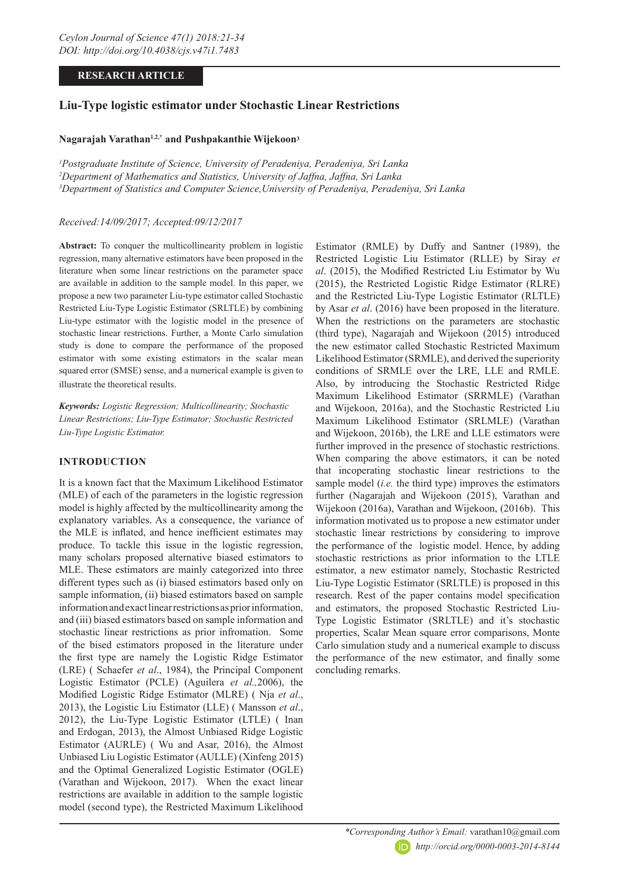## **RESEARCH ARTICLE**

# **Liu-Type logistic estimator under Stochastic Linear Restrictions**

## **Nagarajah Varathan1,2,\* and Pushpakanthie Wijekoon3**

*1 Postgraduate Institute of Science, University of Peradeniya, Peradeniya, Sri Lanka 2 Department of Mathematics and Statistics, University of Jaffna, Jaffna, Sri Lanka 3 Department of Statistics and Computer Science,University of Peradeniya, Peradeniya, Sri Lanka*

## *Received:14/09/2017; Accepted:09/12/2017*

**Abstract:** To conquer the multicollinearity problem in logistic regression, many alternative estimators have been proposed in the literature when some linear restrictions on the parameter space are available in addition to the sample model. In this paper, we propose a new two parameter Liu-type estimator called Stochastic Restricted Liu-Type Logistic Estimator (SRLTLE) by combining Liu-type estimator with the logistic model in the presence of stochastic linear restrictions. Further, a Monte Carlo simulation study is done to compare the performance of the proposed estimator with some existing estimators in the scalar mean squared error (SMSE) sense, and a numerical example is given to illustrate the theoretical results.

*Keywords: Logistic Regression; Multicollinearity; Stochastic Linear Restrictions; Liu-Type Estimator; Stochastic Restricted Liu-Type Logistic Estimator.* 

## **INTRODUCTION**

It is a known fact that the Maximum Likelihood Estimator (MLE) of each of the parameters in the logistic regression model is highly affected by the multicollinearity among the explanatory variables. As a consequence, the variance of the MLE is inflated, and hence inefficient estimates may produce. To tackle this issue in the logistic regression, many scholars proposed alternative biased estimators to MLE. These estimators are mainly categorized into three different types such as (i) biased estimators based only on sample information, (ii) biased estimators based on sample information and exact linear restrictions as prior information, and (iii) biased estimators based on sample information and stochastic linear restrictions as prior infromation. Some of the bised estimators proposed in the literature under the first type are namely the Logistic Ridge Estimator (LRE) ( Schaefer *et al*., 1984), the Principal Component Logistic Estimator (PCLE) (Aguilera *et al.,*2006), the Modified Logistic Ridge Estimator (MLRE) ( Nja *et al*., 2013), the Logistic Liu Estimator (LLE) ( Mansson *et al*., 2012), the Liu-Type Logistic Estimator (LTLE) ( Inan and Erdogan, 2013), the Almost Unbiased Ridge Logistic Estimator (AURLE) ( Wu and Asar, 2016), the Almost Unbiased Liu Logistic Estimator (AULLE) (Xinfeng 2015) and the Optimal Generalized Logistic Estimator (OGLE) (Varathan and Wijekoon, 2017). When the exact linear restrictions are available in addition to the sample logistic model (second type), the Restricted Maximum Likelihood

Estimator (RMLE) by Duffy and Santner (1989), the Restricted Logistic Liu Estimator (RLLE) by Siray *et al*. (2015), the Modified Restricted Liu Estimator by Wu (2015), the Restricted Logistic Ridge Estimator (RLRE) and the Restricted Liu-Type Logistic Estimator (RLTLE) by Asar *et al*. (2016) have been proposed in the literature. When the restrictions on the parameters are stochastic (third type), Nagarajah and Wijekoon (2015) introduced the new estimator called Stochastic Restricted Maximum Likelihood Estimator (SRMLE), and derived the superiority conditions of SRMLE over the LRE, LLE and RMLE. Also, by introducing the Stochastic Restricted Ridge Maximum Likelihood Estimator (SRRMLE) (Varathan and Wijekoon, 2016a), and the Stochastic Restricted Liu Maximum Likelihood Estimator (SRLMLE) (Varathan and Wijekoon, 2016b), the LRE and LLE estimators were further improved in the presence of stochastic restrictions. When comparing the above estimators, it can be noted that incoperating stochastic linear restrictions to the sample model (*i.e.* the third type) improves the estimators further (Nagarajah and Wijekoon (2015), Varathan and Wijekoon (2016a), Varathan and Wijekoon, (2016b). This information motivated us to propose a new estimator under stochastic linear restrictions by considering to improve the performance of the logistic model. Hence, by adding stochastic restrictions as prior information to the LTLE estimator, a new estimator namely, Stochastic Restricted Liu-Type Logistic Estimator (SRLTLE) is proposed in this research. Rest of the paper contains model specification and estimators, the proposed Stochastic Restricted Liu-Type Logistic Estimator (SRLTLE) and it's stochastic properties, Scalar Mean square error comparisons, Monte Carlo simulation study and a numerical example to discuss the performance of the new estimator, and finally some concluding remarks.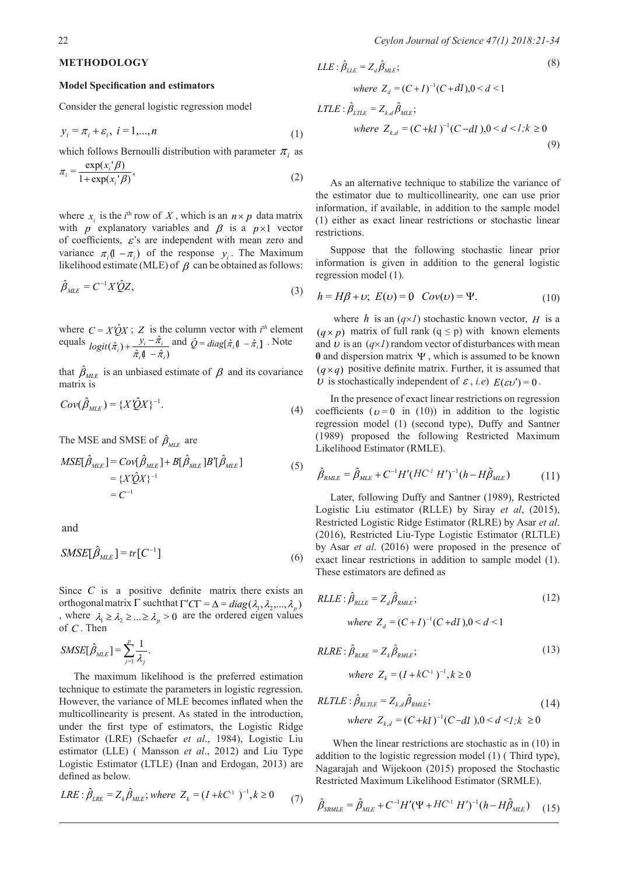#### **METHODOLOGY**

#### **Model Specification and estimators**

Consider the general logistic regression model

$$
y_i = \pi_i + \varepsilon_i, \ i = 1, \dots, n \tag{1}
$$

which follows Bernoulli distribution with parameter  $\pi$ , as *x* 1.0

$$
\pi_i = \frac{\exp(x_i \, \mathcal{B})}{1 + \exp(x_i \, \mathcal{B})},\tag{2}
$$

where  $x_i$  is the *i*<sup>th</sup> row of *X*, which is an  $n \times p$  data matrix with *p* explanatory variables and  $\beta$  is a  $p \times 1$  vector of coefficients,  $\varepsilon$ 's are independent with mean zero and variance  $\pi_i$  (1 – $\pi_i$ ) of the response  $y_i$ . The Maximum likelihood estimate (MLE) of  $\beta$  can be obtained as follows:

$$
\hat{\beta}_{MLE} = C^{-1} X \hat{Q} Z,\tag{3}
$$

where  $C = X'QX$ ; *Z* is the column vector with  $i^{th}$  element equals  $\left(\hat{\pi}_i\right) + \frac{y_i - \hat{\pi}_i}{\hat{\pi}_i \left(1 - \hat{\pi}_i\right)}$  $i \mathbf{u} - \mathbf{u}_i$  $logit(\hat{\pi}_i) + \frac{y_i - \hat{\pi}_i}{\hat{\pi}_i \mathbf{1} - \hat{\pi}_i}$  $\widetilde{\hat{\pi}_i}$  +  $\frac{y_i - \hat{\pi}_i}{\hat{\pi}_i (1 - \hat{\pi}_i)}$  and  $\hat{Q} = diag[\hat{\pi}_i (1 - \hat{\pi}_i)]$ . Note

that  $\hat{\beta}_{MLE}$  is an unbiased estimate of  $\beta$  and its covariance matrix is

$$
Cov(\hat{\beta}_{MLE}) = \{X^i \hat{Q} X\}^{-1}.
$$
\n(4)

The MSE and SMSE of  $\hat{\beta}_{MLE}$  are

$$
MSE[\hat{\beta}_{MLE}] = Cov[\hat{\beta}_{MLE}] + B[\hat{\beta}_{MLE}]B'[\hat{\beta}_{MLE}]
$$
  
= { $X'QX$ }<sup>-1</sup>  
= C<sup>-1</sup> (5)

and

$$
SMSE[\hat{\beta}_{MLE}] = tr[C^{-1}] \tag{6}
$$

Since *C* is a positive definite matrix there exists an orthogonal matrix Γ such that  $\Gamma'$ CΓ =  $\Delta = diag(\lambda_1, \lambda_2, ..., \lambda_p)$ , where  $\lambda_1 \geq \lambda_2 \geq ... \geq \lambda_n > 0$  are the ordered eigen values of *C* . Then

$$
SMSE[\hat{\beta}_{MLE}] = \sum_{j=1}^{p} \frac{1}{\lambda_j}.
$$

The maximum likelihood is the preferred estimation technique to estimate the parameters in logistic regression. However, the variance of MLE becomes inflated when the multicollinearity is present. As stated in the introduction, municonnearity is present. As stated in the infoduction,<br>under the first type of estimators, the Logistic Ridge where  $Z_{k,d} = (C + kI)^{-1}(C - dI)$ ,  $0 < d < 1$ ;  $k \ge$ Estimator (LRE) (Schaefer *et al*., 1984), Logistic Liu estimator (LLE) ( Mansson *et al*., 2012) and Liu Type Logistic Estimator (LTLE) (Inan and Erdogan, 2013) are defined as below.

$$
LRE: \hat{\beta}_{LRE} = Z_k \hat{\beta}_{MLE}; where Z_k = (I + kC^{1})^{-1}, k \ge 0
$$
 (7)

$$
LLE: \hat{\beta}_{LLE} = Z_d \hat{\beta}_{MLE};
$$
\nwhere  $Z_d = (C + I)^{-1} (C + dI), 0 < d < 1$   
\n
$$
LTLE: \hat{\beta}_{LTLE} = Z_{k,d} \hat{\beta}_{MLE};
$$
\n(1) where  $Z_{k,d} = (C + kI)^{-1} (C - dI), 0 < d < I; k \ge 0$  (9)

As an alternative technique to stabilize the variance of the estimator due to multicollinearity, one can use prior information, if available, in addition to the sample model (1) either as exact linear restrictions or stochastic linear restrictions.

Suppose that the following stochastic linear prior information is given in addition to the general logistic regression model (1).

$$
h = H\beta + \upsilon; \ E(\upsilon) = 0 \ Cov(\upsilon) = \Psi.
$$
 (10)

where *h* is an  $(q \times l)$  stochastic known vector, *H* is a  $(q \times p)$  matrix of full rank  $(q \leq p)$  with known elements and  $\upsilon$  is an  $(q\times1)$  random vector of disturbances with mean **0** and dispersion matrix Ψ , which is assumed to be known  $(q \times q)$  positive definite matrix. Further, it is assumed that *U* is stochastically independent of  $\varepsilon$ , *i.e*)  $E(\varepsilon v') = 0$ .

In the presence of exact linear restrictions on regression coefficients ( $v = 0$  in (10)) in addition to the logistic regression model (1) (second type), Duffy and Santner (1989) proposed the following Restricted Maximum Likelihood Estimator (RMLE).

$$
\hat{\beta}_{RMLE} = \hat{\beta}_{MLE} + C^{-1} H'(HC^H H')^{-1} (h - H\hat{\beta}_{MLE})
$$
(11)

Later, following Duffy and Santner (1989), Restricted Logistic Liu estimator (RLLE) by Siray *et al*, (2015), Restricted Logistic Ridge Estimator (RLRE) by Asar *et al*. (2016), Restricted Liu-Type Logistic Estimator (RLTLE) by Asar *et al*. (2016) were proposed in the presence of exact linear restrictions in addition to sample model (1). These estimators are defined as

$$
\text{RILE}: \hat{\beta}_{\text{RILE}} = Z_d \hat{\beta}_{\text{RMLE}}; \text{eigen values} \qquad \text{RILE}: \hat{\beta}_{\text{RILE}} = (C+I)^{-1}(C+ dI), 0 < d < 1
$$
\n
$$
\text{where } Z_d = (C+I)^{-1}(C+ dI), 0 < d < 1
$$
\n(12)

$$
RLRE: \hat{\beta}_{RLRE} = Z_k \hat{\beta}_{RMLE};
$$
\n(13)

 $where Z_k = (I + kC^{-1})^{-1}, k \ge 0$ 

when the 
$$
RLTLE: \hat{\beta}_{RLTLE} = Z_{k,d} \hat{\beta}_{RMLE}
$$
;  
roduction, *where*  $Z_{k,d} = (C + kI)^{-1} (C - dI), 0 < d < I; k \ge 0$  (14)

 When the linear restrictions are stochastic as in (10) in addition to the logistic regression model (1) ( Third type), Nagarajah and Wijekoon (2015) proposed the Stochastic Restricted Maximum Likelihood Estimator (SRMLE).

$$
kC^{1})^{-1}, k \ge 0 \qquad (7) \qquad \hat{\beta}_{SRMLE} = \hat{\beta}_{MLE} + C^{-1}H'(\Psi + HC^{1} H')^{-1}(h - H\hat{\beta}_{MLE}) \qquad (15)
$$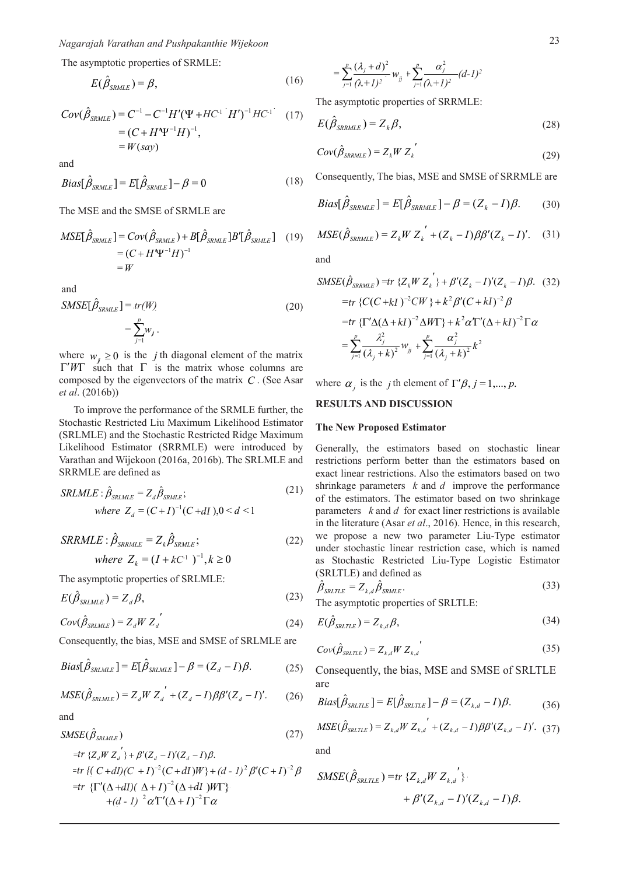The asymptotic properties of SRMLE:

$$
E(\hat{\beta}_{SRMLE}) = \beta, \tag{16}
$$

$$
Cov(\hat{\beta}_{SRMLE}) = C^{-1} - C^{-1}H'(\Psi + HC^{-1}H')^{-1}HC^{-1}
$$
 (17)  
=  $(C + H\Psi^{-1}H)^{-1}$ ,  
=  $W(say)$ 

and

$$
Bias[\hat{\beta}_{SRMLE}] = E[\hat{\beta}_{SRMLE}] - \beta = 0 \tag{18}
$$

The MSE and the SMSE of SRMLE are

$$
MSE[\hat{\beta}_{SRMLE}] = Cov(\hat{\beta}_{SRMLE}) + B[\hat{\beta}_{SRMLE}]B'[\hat{\beta}_{SRMLE}]
$$
 (19)  
=  $(C + H'\Psi^{-1}H)^{-1}$   
= W

and

$$
SMSE[\hat{\beta}_{SRMLE}] = tr(W)
$$
  
=  $\sum_{j=1}^{p} w_j$ . (20)

where  $w_j \ge 0$  is the *j* th diagonal element of the matrix Γ′*W*Γ such that Γ is the matrix whose columns are composed by the eigenvectors of the matrix *C* . (See Asar *et al*. (2016b))

To improve the performance of the SRMLE further, the Stochastic Restricted Liu Maximum Likelihood Estimator (SRLMLE) and the Stochastic Restricted Ridge Maximum Likelihood Estimator (SRRMLE) were introduced by Varathan and Wijekoon (2016a, 2016b). The SRLMLE and SRRMLE are defined as

$$
SRLMLE: \hat{\beta}_{SRLMLE} = Z_d \hat{\beta}_{SRMLE};
$$
\n(21) 
$$
SRLMLE: \hat{\beta}_{SRLMLE} = (C+I)^{-1}(C+dI), 0 < d < 1
$$
\n(22) 
$$
SRLMLE: \hat{\beta}_{SRLMLE} = Z_d \hat{\beta}_{SRMLE};
$$
\n(23) 
$$
SRLMLE: \hat{\beta}_{SRLMLE} = Z_d \hat{\beta}_{SRMLE};
$$
\n(24) 
$$
SRLMLE: \hat{\beta}_{SRLMLE} = Z_d \hat{\beta}_{SRMLE};
$$
\n(25) 
$$
SRLMLE: \hat{\beta}_{SRLME} = Z_d \hat{\beta}_{SRMLE};
$$
\n(26) 
$$
SRLMLE: \hat{\beta}_{SRLME} = Z_d \hat{\beta}_{SRMLE};
$$
\n(27) 
$$
SRLIME: \hat{\beta}_{SRLME} = Z_d \hat{\beta}_{SRMLE};
$$
\n(28) 
$$
SRLIME: \hat{\beta}_{SRLME} = Z_d \hat{\beta}_{SRMLE};
$$
\n(29) 
$$
SRLIME: \hat{\beta}_{SRLME} = Z_d \hat{\beta}_{SRMLE};
$$
\n(20) 
$$
SRLIME: \hat{\beta}_{SRLME} = Z_d \hat{\beta}_{SRMLE};
$$
\n(21) 
$$
SRLIME: \hat{\beta}_{SRLME} = Z_d \hat{\beta}_{SRMLE};
$$
\n(22) 
$$
SRLIME: \hat{\beta}_{SRLME} = Z_d \hat{\beta}_{SRMLE};
$$
\n(23) 
$$
SRLIME: \hat{\beta}_{SRLME} = Z_d \hat{\beta}_{SRMLE};
$$
\n(24) 
$$
SRLATE: \hat{\beta}_{SRLME} = Z_d \hat{\beta}_{SRMLE};
$$
\n(25) 
$$
SRLATE: \hat{\beta}_{SRLATE} = Z_d \hat{\beta}_{SRMLE};
$$
\n(26) 
$$
SRLATE: \hat{\beta}_{SRLATE} = Z_d \hat{\beta}_{SRMLE};
$$
\n(27) 
$$
SRLATE: \hat{\beta}_{SRLATE} = Z_d \hat{\beta}_{SRMLE};
$$
\n(28) 
$$
SRLATE: \hat{\beta}_{SRLATE} = Z_d \hat{\beta}_{SRMLE};
$$
\n(29) 
$$
SRLATE: \hat{\beta}_{S
$$

$$
SRRMLE: \hat{\beta}_{SRRMLE} = Z_k \hat{\beta}_{SRMLE};
$$
\n(22) we have  
\n
$$
Z_k = (I + kC^{-1})^{-1}, k \ge 0
$$
\n(22) we have  
\nand  
\nas S

The asymptotic properties of SRLMLE:

$$
E(\hat{\beta}_{SRLMLE}) = Z_d \beta, \qquad (23)
$$

$$
Cov(\hat{\beta}_{SRLMLE}) = Z_dW Z_d'
$$
 (24)

Consequently, the bias, MSE and SMSE of SRLMLE are

$$
Bias[\hat{\beta}_{SRLMLE}] = E[\hat{\beta}_{SRLMLE}] - \beta = (Z_d - I)\beta. \tag{25}
$$

$$
MSE(\hat{\beta}_{SRLMLE}) = Z_dW Z_d' + (Z_d - I)\beta\beta'(Z_d - I)'. \tag{26}
$$

and

$$
SMSE(\hat{\beta}_{SRLMLE})
$$
\n
$$
= tr \{Z_d W Z_d \} + \beta'(Z_d - I)'(Z_d - I)\beta.
$$
\n
$$
(27)
$$

$$
=tr \{ (C + dI)(C + I)^{-2} (C + dI)W \} + (d - I)^{2} \beta'(C + I)^{-2} \beta
$$
  

$$
= tr \{ \Gamma'(\Delta + dI)(\Delta + I)^{-2} (\Delta + dI)W \}
$$
  

$$
+ (d - I)^{-2} \alpha' \Gamma'(\Delta + I)^{-2} \Gamma \alpha
$$

$$
= \sum_{j=1}^{p} \frac{(\lambda_j + d)^2}{(\lambda + 1)^2} w_{jj} + \sum_{j=1}^{p} \frac{\alpha_j^2}{(\lambda + 1)^2} (d - 1)^2
$$

The asymptotic properties of SRRMLE:

$$
E(\hat{\beta}_{SRRMLE}) = Z_k \beta, \qquad (28)
$$

$$
Cov(\hat{\beta}_{SRRMLE}) = Z_k W Z_k'
$$
\n(29)

Consequently, The bias, MSE and SMSE of SRRMLE are

$$
Bias[\hat{\beta}_{SRRMLE}] = E[\hat{\beta}_{SRRMLE}] - \beta = (Z_k - I)\beta. \tag{30}
$$

$$
MSE(\hat{\beta}_{SRRMLE}) = Z_k W Z_k^{''} + (Z_k - I)\beta \beta'(Z_k - I)'.
$$
 (31)

and

$$
SMSE(\hat{\beta}_{SRRMLE}) = tr \{Z_k W Z_k^{'}\} + \beta'(Z_k - I)'(Z_k - I)\beta.
$$
 (32)  
=tr {C(C + kI)<sup>-2</sup>CW } + k<sup>2</sup> \beta'(C + kI)<sup>-2</sup> \beta  
=tr { $\Gamma' \Delta (\Delta + kI)^{-2} \Delta W \Gamma$ } + k<sup>2</sup> \alpha' \Gamma' (\Delta + kI)^{-2} \Gamma \alpha  
=  $\sum_{j=1}^p \frac{\lambda_j^2}{(\lambda_j + k)^2} w_{jj} + \sum_{j=1}^p \frac{\alpha_j^2}{(\lambda_j + k)^2} k^2$ 

where  $\alpha_i$  is the *j* th element of  $\Gamma' \beta$ ,  $j = 1, ..., p$ .

## **RESULTS AND DISCUSSION**

#### **The New Proposed Estimator**

Generally, the estimators based on stochastic linear restrictions perform better than the estimators based on exact linear restrictions. Also the estimators based on two shrinkage parameters *k* and *d* improve the performance of the estimators. The estimator based on two shrinkage parameters *k* and *d* for exact liner restrictions is available in the literature (Asar *et al*., 2016). Hence, in this research, we propose a new two parameter Liu-Type estimator under stochastic linear restriction case, which is named as Stochastic Restricted Liu-Type Logistic Estimator (SRLTLE) and defined as

$$
\hat{\beta}_{SRLTLE} = Z_{k,d} \hat{\beta}_{SRMLE}.
$$
\n(33)

The asymptotic properties of SRLTLE:

$$
E(\hat{\beta}_{SRLTLE}) = Z_{k,d}\beta,\tag{34}
$$

$$
Cov(\hat{\beta}_{SRLTLE}) = Z_{k,d}W Z_{k,d} \tag{35}
$$

Consequently, the bias, MSE and SMSE of SRLTLE are

$$
Bias[\hat{\beta}_{SRLTLE}] = E[\hat{\beta}_{SRLTLE}] - \beta = (Z_{k,d} - I)\beta. \tag{36}
$$

$$
MSE(\hat{\beta}_{SRLTLE}) = Z_{k,d}W Z_{k,d}^{\prime \prime} + (Z_{k,d} - I)\beta \beta'(Z_{k,d} - I)^{\prime}. \tag{37}
$$

and

$$
SMSE(\hat{\beta}_{SRLTLE}) = tr \{Z_{k,d}W Z_{k,d} \}' + \beta'(Z_{k,d} - I)'(Z_{k,d} - I)\beta.
$$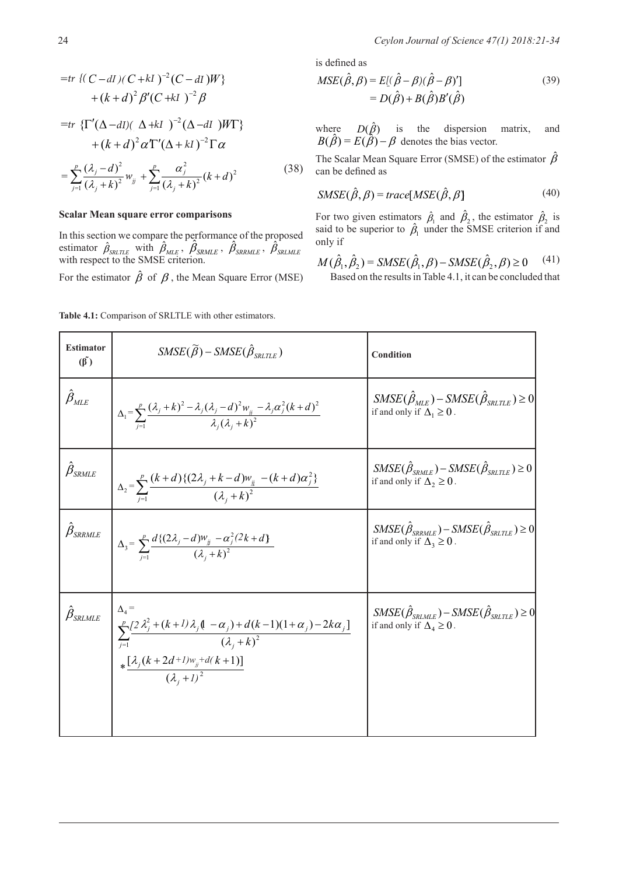is defined as

$$
=tr \{ (C - dI)(C + kI)^{-2} (C - dI)W \}
$$
  
\n
$$
+ (k + d)^{2} \beta'(C + kI)^{-2} \beta
$$
  
\n
$$
=tr \{ \Gamma'(\Delta - dI)(\Delta + kI)^{-2} (\Delta - dI)W \}
$$
  
\n
$$
= tr \{ \Gamma'(\Delta - dI)(\Delta + kI)^{-2} (\Delta - dI)W \}
$$
  
\nwhere  $D(\hat{\beta})$  is the dispersion matrix, and  $B(\hat{\beta}) = E(\beta) - \beta$  denotes the bias vector.  
\n
$$
= \sum_{j=1}^{p} \frac{(\lambda_{j} - d)^{2}}{(\lambda_{j} + k)^{2}} w_{ij} + \sum_{j=1}^{p} \frac{\alpha_{j}^{2}}{(\lambda_{j} + k)^{2}} (k + d)^{2}
$$
  
\n(38) (39)  
\n
$$
= \sum_{j=1}^{p} \frac{(\lambda_{j} - d)^{2}}{(\lambda_{j} + k)^{2}} w_{ij} + \sum_{j=1}^{p} \frac{\alpha_{j}^{2}}{(\lambda_{j} + k)^{2}} (k + d)^{2}
$$
  
\n(39)  
\n
$$
= \sum_{j=1}^{p} \frac{(\lambda_{j} - d)^{2}}{(\lambda_{j} + k)^{2}} w_{ij} + \sum_{j=1}^{p} \frac{\alpha_{j}^{2}}{(\lambda_{j} + k)^{2}} (k + d)^{2}
$$
  
\n(30)  
\n
$$
= \sum_{j=1}^{p} \frac{(\lambda_{j} - d)^{2}}{(\lambda_{j} + k)^{2}} w_{ij} + \sum_{j=1}^{p} \frac{(\lambda_{j} - d)^{2}}{(\lambda_{j} + k)^{2}} (k + d)^{2}
$$
  
\n(39)  
\n
$$
= D(\hat{\beta}) + B(\hat{\beta})B'(\hat{\beta})
$$
  
\nwhere  $D(\hat{\beta})$  is the dispersion matrix, and  $B(\hat{\beta}) = E(\hat{\beta}) - \beta$  denotes the bias vector.

#### **Scalar Mean square error comparisons**

$$
MSE(\hat{\beta}, \beta) = E[(\hat{\beta} - \beta)(\hat{\beta} - \beta)']
$$
  
=  $D(\hat{\beta}) + B(\hat{\beta})B'(\hat{\beta})$  (39)

 $B(\hat{\beta}) = E(\hat{\beta}) - \beta$  denotes the bias vector.

The Scalar Mean Square Error (SMSE) of the estimator  $\hat{\beta}$ can be defined as

$$
SMSE(\hat{\beta}, \beta) = trace[MSE(\hat{\beta}, \beta]
$$
 (40)

For two given estimators  $\hat{\beta}_1$  and  $\hat{\beta}_2$ , the estimator  $\hat{\beta}_2$  is said to be superior to  $\hat{\beta}_1$  under the SMSE criterion if and only if

$$
M(\hat{\beta}_1, \hat{\beta}_2) = \text{SMSE}(\hat{\beta}_1, \beta) - \text{SMSE}(\hat{\beta}_2, \beta) \ge 0 \tag{41}
$$
  
Based on the results in Table 4.1, it can be concluded that

Based on the results in Table 4.1, it can be concluded that

|                                       | $= \sum_{i=1}^{\infty} \frac{(y_i - y_i)^2}{(\lambda_i + k)^2} w_{ij} + \sum_{i=1}^{\infty} \frac{(y_i - y_i)^2}{(\lambda_i + k)^2} (k + d)^2$                                                                                                                                                                                                                                                                          | call be defined as                                                                                   |                                                                                                                                                                                                                                                                                                                             |  |  |  |
|---------------------------------------|-------------------------------------------------------------------------------------------------------------------------------------------------------------------------------------------------------------------------------------------------------------------------------------------------------------------------------------------------------------------------------------------------------------------------|------------------------------------------------------------------------------------------------------|-----------------------------------------------------------------------------------------------------------------------------------------------------------------------------------------------------------------------------------------------------------------------------------------------------------------------------|--|--|--|
|                                       |                                                                                                                                                                                                                                                                                                                                                                                                                         |                                                                                                      | $SMSE(\hat{\beta}, \beta) = trace[MSE(\hat{\beta}, \beta)]$                                                                                                                                                                                                                                                                 |  |  |  |
|                                       | <b>Scalar Mean square error comparisons</b><br>In this section we compare the performance of the proposed<br>estimator $\hat{\beta}_{SRLTLE}$ with $\hat{\beta}_{MLE}$ , $\beta_{SRMLE}$ , $\hat{\beta}_{SRRMLE}$ , $\hat{\beta}_{SRLMLE}$<br>with respect to the SMSE criterion.<br>For the estimator $\hat{\beta}$ of $\beta$ , the Mean Square Error (MSE)<br>Table 4.1: Comparison of SRLTLE with other estimators. | only if                                                                                              | For two given estimators $\hat{\beta}_1$ and $\hat{\beta}_2$ , the estimator<br>said to be superior to $\hat{\beta}_1$ under the SMSE criterion<br>$M(\hat{\beta}_1, \hat{\beta}_2) = \text{SMSE}(\hat{\beta}_1, \beta) - \text{SMSE}(\hat{\beta}_2, \beta) \ge 0$<br>Based on the results in Table 4.1, it can be conclude |  |  |  |
| <b>Estimator</b><br>$(\tilde{\beta})$ | $SMSE(\widetilde{\beta}) - SMSE(\widehat{\beta}_{SRLTLE})$                                                                                                                                                                                                                                                                                                                                                              |                                                                                                      | Condition                                                                                                                                                                                                                                                                                                                   |  |  |  |
| $\beta_{\rm MLE}$                     | $\Delta_1 = \sum_{j=1}^p \frac{(\lambda_j + k)^2 - \lambda_j (\lambda_j - d)^2 w_{jj} - \lambda_j \alpha_j^2 (k + d)^2}{\lambda_j (\lambda_j + k)^2}$                                                                                                                                                                                                                                                                   | $SMSE(\hat{\beta}_{MLE}) - SMSE(\hat{\beta}_{SRLTLE}) \ge 0$<br>if and only if $\Delta_1 \geq 0$ .   |                                                                                                                                                                                                                                                                                                                             |  |  |  |
| $\hat{\beta}_{\text{\tiny{SRMLE}}}$   | $\Delta_2 = \sum_{j=1}^p \frac{(k+d)\{(2\lambda_j + k - d)w_{jj} - (k+d)\alpha_j^2\}}{(\lambda_j + k)^2}$                                                                                                                                                                                                                                                                                                               | $SMSE(\hat{\beta}_{SRMLE}) - SMSE(\hat{\beta}_{SRLTLE}) \ge 0$<br>if and only if $\Delta_2 \geq 0$ . |                                                                                                                                                                                                                                                                                                                             |  |  |  |
|                                       | $\hat{\beta}_{SRRMLE}$ $\Delta_3 = \sum_{j=1}^{p} \frac{d\{(2\lambda_j - d)w_{ij} - \alpha_j^2(2k+d)\}}{(\lambda_j + k)^2}$                                                                                                                                                                                                                                                                                             |                                                                                                      | $SMSE(\hat{\beta}_{SRRMLE}) - SMSE(\hat{\beta}_{SRLTLE}) \ge 0$<br>if and only if $\Delta_3 \geq 0$ .                                                                                                                                                                                                                       |  |  |  |
|                                       | $\hat{\beta}_{SRLMLE}$ $\begin{bmatrix} \Delta_4 = \\ \sum_{i=1}^{P} \frac{2 \lambda_j^2 + (k+1)\lambda_j (1-\alpha_j) + d(k-1)(1+\alpha_j) - 2k\alpha_j}{(\lambda_j + k)^2} \end{bmatrix}$<br>$*\frac{[\lambda_j(k+2d+1)w_j+d(k+1)]}{(\lambda_j+l)^2}$                                                                                                                                                                 |                                                                                                      | $SMSE(\hat{\beta}_{SRLMLE}) - SMSE(\hat{\beta}_{SRLTLE}) \ge 0$<br>if and only if $\Delta_4 \geq 0$ .                                                                                                                                                                                                                       |  |  |  |

 $($ a $\alpha$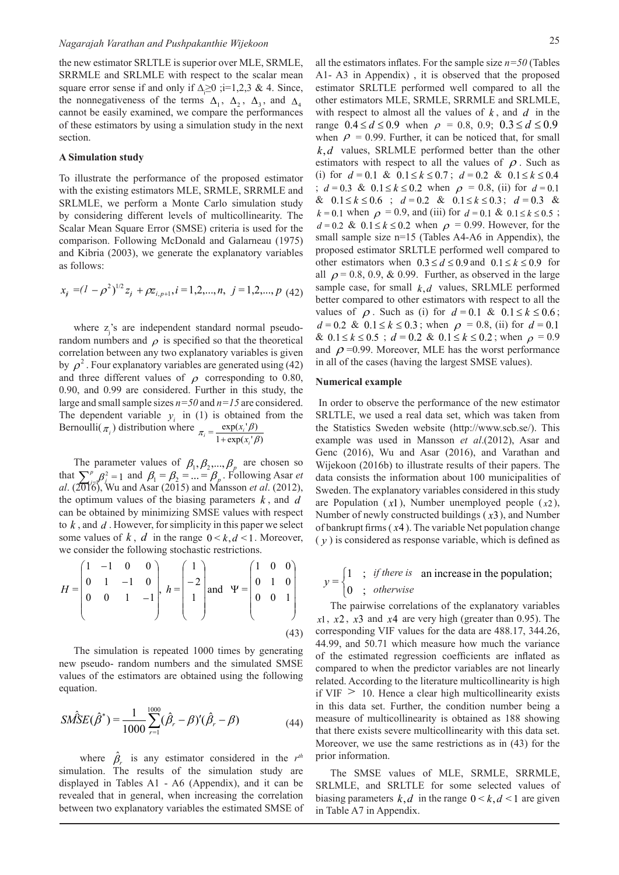the new estimator SRLTLE is superior over MLE, SRMLE, SRRMLE and SRLMLE with respect to the scalar mean square error sense if and only if  $\Delta \geq 0$ ;i=1,2,3 & 4. Since, the nonnegativeness of the terms  $\Delta_1$ ,  $\Delta_2$ ,  $\Delta_3$ , and  $\Delta_4$ cannot be easily examined, we compare the performances of these estimators by using a simulation study in the next section.

#### **A Simulation study**

To illustrate the performance of the proposed estimator with the existing estimators MLE, SRMLE, SRRMLE and SRLMLE, we perform a Monte Carlo simulation study by considering different levels of multicollinearity. The Scalar Mean Square Error (SMSE) criteria is used for the comparison. Following McDonald and Galarneau (1975) and Kibria (2003), we generate the explanatory variables as follows:

$$
x_{ij} = (1 - \rho^2)^{1/2} z_j + \rho z_{i, p+1}, i = 1, 2, ..., n, \ j = 1, 2, ..., p \ (42)
$$

where  $z_j$ 's are independent standard normal pseudorandom numbers and  $\rho$  is specified so that the theoretical correlation between any two explanatory variables is given by  $\rho^2$ . Four explanatory variables are generated using (42) and three different values of  $\rho$  corresponding to 0.80, 0.90, and 0.99 are considered. Further in this study, the large and small sample sizes *n=50* and *n=15* are considered. The dependent variable  $y_i$  in (1) is obtained from the Bernoulli( $\pi$ <sub>*i*</sub>) distribution where  $\pi_i = \frac{\exp(x_i{}' \beta)}{1 + \exp(x_i{}' \beta)}$  $i = \frac{\exp(x_i)}{1 + \exp(x_i)}$ *x* +

The parameter values of  $\beta_1, \beta_2, ..., \beta_p$  are chosen so that  $\sum_{i=1}^{p} \beta_i^2 = 1$  and  $\beta_1 = \beta_2 = ... = \beta_p$ . Following Asar *et*  $\beta_2 = ... = \beta_p$ . al. (2016), Wu and Asar (2015) and Mansson *et al.* (2012), the optimum values of the biasing parameters *k* , and *d* can be obtained by minimizing SMSE values with respect to *k* , and *d* . However, for simplicity in this paper we select some values of  $k$ ,  $d$  in the range  $0 \le k, d \le 1$ . Moreover, we consider the following stochastic restrictions.

*i*

$$
H = \begin{pmatrix} 1 & -1 & 0 & 0 \\ 0 & 1 & -1 & 0 \\ 0 & 0 & 1 & -1 \end{pmatrix}, \ h = \begin{pmatrix} 1 \\ -2 \\ 1 \end{pmatrix} \text{ and } \Psi = \begin{pmatrix} 1 & 0 & 0 \\ 0 & 1 & 0 \\ 0 & 0 & 1 \end{pmatrix}
$$
(43)

The simulation is repeated 1000 times by generating new pseudo- random numbers and the simulated SMSE values of the estimators are obtained using the following equation.

$$
S\hat{MSE}(\hat{\beta}^*) = \frac{1}{1000} \sum_{r=1}^{1000} (\hat{\beta}_r - \beta)'(\hat{\beta}_r - \beta)
$$
(44)

where  $\hat{\beta}_r$  is any estimator considered in the  $r^{th}$ simulation. The results of the simulation study are displayed in Tables A1 - A6 (Appendix), and it can be revealed that in general, when increasing the correlation between two explanatory variables the estimated SMSE of all the estimators inflates. For the sample size  $n=50$  (Tables A1- A3 in Appendix) , it is observed that the proposed estimator SRLTLE performed well compared to all the other estimators MLE, SRMLE, SRRMLE and SRLMLE, with respect to almost all the values of *k* , and *d* in the range  $0.4 \le d \le 0.9$  when  $\rho = 0.8, 0.9; 0.3 \le d \le 0.9$ when  $\rho = 0.99$ . Further, it can be noticed that, for small *k*,*d* values, SRLMLE performed better than the other estimators with respect to all the values of  $\rho$ . Such as (i) for  $d = 0.1 \& 0.1 \le k \le 0.7$ ;  $d = 0.2 \& 0.1 \le k \le 0.4$ ;  $d = 0.3$  &  $0.1 \le k \le 0.2$  when  $\rho = 0.8$ , (ii) for  $d = 0.1$ & 0.1≤ *k* ≤ 0.6 ; *d* = 0.2 & 0.1≤ *k* ≤ 0.3 ; *d* = 0.3 &  $k = 0.1$  when  $\rho = 0.9$ , and (iii) for  $d = 0.1 \& 0.1 \le k \le 0.5$ ; *d* = 0.2 & 0.1 ≤ *k* ≤ 0.2 when  $\rho$  = 0.99. However, for the small sample size n=15 (Tables A4-A6 in Appendix), the proposed estimator SRLTLE performed well compared to other estimators when  $0.3 \le d \le 0.9$  and  $0.1 \le k \le 0.9$  for all  $\rho = 0.8, 0.9, \& 0.99$ . Further, as observed in the large sample case, for small *k*,*d* values, SRLMLE performed better compared to other estimators with respect to all the values of  $\rho$ . Such as (i) for  $d = 0.1 \& 0.1 \le k \le 0.6$ ;  $d = 0.2 \& 0.1 \le k \le 0.3$ ; when  $\rho = 0.8$ , (ii) for  $d = 0.1$ &  $0.1 \le k \le 0.5$ ;  $d = 0.2$  &  $0.1 \le k \le 0.2$ ; when  $\rho = 0.9$ and  $\rho$  =0.99. Moreover, MLE has the worst performance in all of the cases (having the largest SMSE values).

#### **Numerical example**

 In order to observe the performance of the new estimator SRLTLE, we used a real data set, which was taken from the Statistics Sweden website (http://www.scb.se/). This example was used in Mansson *et al*.(2012), Asar and Genc (2016), Wu and Asar (2016), and Varathan and Wijekoon (2016b) to illustrate results of their papers. The data consists the information about 100 municipalities of Sweden. The explanatory variables considered in this study are Population  $(x1)$ , Number unemployed people  $(x2)$ , Number of newly constructed buildings ( *x*3), and Number of bankrupt firms ( *x*4 ). The variable Net population change  $(y)$  is considered as response variable, which is defined as

#### $\overline{\mathcal{L}}$ ⇃  $\int$  $=\begin{cases} 1 & ; \text{ if there is } \text{ an increase in the population;} \\ 0 & ; \text{ otherwise } \end{cases}$ *y if there is otherwise*

The pairwise correlations of the explanatory variables  $x$ 1,  $x$ 2,  $x$ 3 and  $x$ 4 are very high (greater than 0.95). The corresponding VIF values for the data are 488.17, 344.26, 44.99, and 50.71 which measure how much the variance of the estimated regression coefficients are inflated as compared to when the predictor variables are not linearly related. According to the literature multicollinearity is high if VIF  $\geq$  10. Hence a clear high multicollinearity exists in this data set. Further, the condition number being a measure of multicollinearity is obtained as 188 showing that there exists severe multicollinearity with this data set. Moreover, we use the same restrictions as in (43) for the prior information.

The SMSE values of MLE, SRMLE, SRRMLE, SRLMLE, and SRLTLE for some selected values of biasing parameters  $k, d$  in the range  $0 \le k, d \le 1$  are given in Table A7 in Appendix.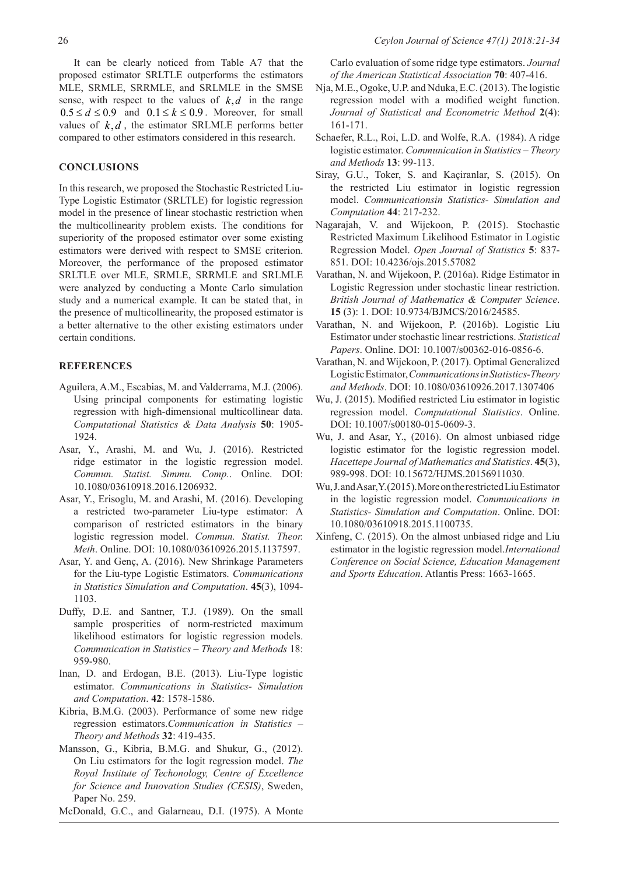It can be clearly noticed from Table A7 that the proposed estimator SRLTLE outperforms the estimators MLE, SRMLE, SRRMLE, and SRLMLE in the SMSE sense, with respect to the values of  $k, d$  in the range  $0.5 \le d \le 0.9$  and  $0.1 \le k \le 0.9$ . Moreover, for small values of  $k, d$ , the estimator SRLMLE performs better compared to other estimators considered in this research.

### **CONCLUSIONS**

In this research, we proposed the Stochastic Restricted Liu-Type Logistic Estimator (SRLTLE) for logistic regression model in the presence of linear stochastic restriction when the multicollinearity problem exists. The conditions for superiority of the proposed estimator over some existing estimators were derived with respect to SMSE criterion. Moreover, the performance of the proposed estimator SRLTLE over MLE, SRMLE, SRRMLE and SRLMLE were analyzed by conducting a Monte Carlo simulation study and a numerical example. It can be stated that, in the presence of multicollinearity, the proposed estimator is a better alternative to the other existing estimators under certain conditions.

#### **REFERENCES**

- Aguilera, A.M., Escabias, M. and Valderrama, M.J. (2006). Using principal components for estimating logistic regression with high-dimensional multicollinear data. *Computational Statistics & Data Analysis* **50**: 1905- 1924.
- Asar, Y., Arashi, M. and Wu, J. (2016). Restricted ridge estimator in the logistic regression model. *Commun. Statist. Simmu. Comp.*. Online. DOI: 10.1080/03610918.2016.1206932.
- Asar, Y., Erisoglu, M. and Arashi, M. (2016). Developing a restricted two-parameter Liu-type estimator: A comparison of restricted estimators in the binary logistic regression model. *Commun. Statist. Theor. Meth*. Online. DOI: 10.1080/03610926.2015.1137597.
- Asar, Y. and Genç, A. (2016). New Shrinkage Parameters for the Liu-type Logistic Estimators. *Communications in Statistics Simulation and Computation*. **45**(3), 1094- 1103.
- Duffy, D.E. and Santner, T.J. (1989). On the small sample prosperities of norm-restricted maximum likelihood estimators for logistic regression models. *Communication in Statistics – Theory and Methods* 18: 959-980.
- Inan, D. and Erdogan, B.E. (2013). Liu-Type logistic estimator. *Communications in Statistics- Simulation and Computation*. **42**: 1578-1586.
- Kibria, B.M.G. (2003). Performance of some new ridge regression estimators.*Communication in Statistics – Theory and Methods* **32**: 419-435.
- Mansson, G., Kibria, B.M.G. and Shukur, G., (2012). On Liu estimators for the logit regression model. *The Royal Institute of Techonology, Centre of Excellence for Science and Innovation Studies (CESIS)*, Sweden, Paper No. 259.
- McDonald, G.C., and Galarneau, D.I. (1975). A Monte

Carlo evaluation of some ridge type estimators. *Journal of the American Statistical Association* **70**: 407-416.

- Nja, M.E., Ogoke, U.P. and Nduka, E.C. (2013). The logistic regression model with a modified weight function. *Journal of Statistical and Econometric Method* **2**(4): 161-171.
- Schaefer, R.L., Roi, L.D. and Wolfe, R.A. (1984). A ridge logistic estimator. *Communication in Statistics – Theory and Methods* **13**: 99-113.
- Siray, G.U., Toker, S. and Kaçiranlar, S. (2015). On the restricted Liu estimator in logistic regression model. *Communicationsin Statistics- Simulation and Computation* **44**: 217-232.
- Nagarajah, V. and Wijekoon, P. (2015). Stochastic Restricted Maximum Likelihood Estimator in Logistic Regression Model. *Open Journal of Statistics* **5**: 837- 851. DOI: 10.4236/ojs.2015.57082
- Varathan, N. and Wijekoon, P. (2016a). Ridge Estimator in Logistic Regression under stochastic linear restriction. *British Journal of Mathematics & Computer Science*. **15** (3): 1. DOI: 10.9734/BJMCS/2016/24585.
- Varathan, N. and Wijekoon, P. (2016b). Logistic Liu Estimator under stochastic linear restrictions. *Statistical Papers*. Online. DOI: 10.1007/s00362-016-0856-6.
- Varathan, N. and Wijekoon, P. (2017). Optimal Generalized Logistic Estimator, *Communications in Statistics-Theory and Methods*. DOI: 10.1080/03610926.2017.1307406
- Wu, J. (2015). Modified restricted Liu estimator in logistic regression model. *Computational Statistics*. Online. DOI: 10.1007/s00180-015-0609-3.
- Wu, J. and Asar, Y., (2016). On almost unbiased ridge logistic estimator for the logistic regression model. *Hacettepe Journal of Mathematics and Statistics*. **45**(3), 989-998. DOI: 10.15672/HJMS.20156911030.
- Wu, J. and Asar, Y. (2015). More on the restricted Liu Estimator in the logistic regression model. *Communications in Statistics- Simulation and Computation*. Online. DOI: 10.1080/03610918.2015.1100735.
- Xinfeng, C. (2015). On the almost unbiased ridge and Liu estimator in the logistic regression model.*International Conference on Social Science, Education Management and Sports Education*. Atlantis Press: 1663-1665.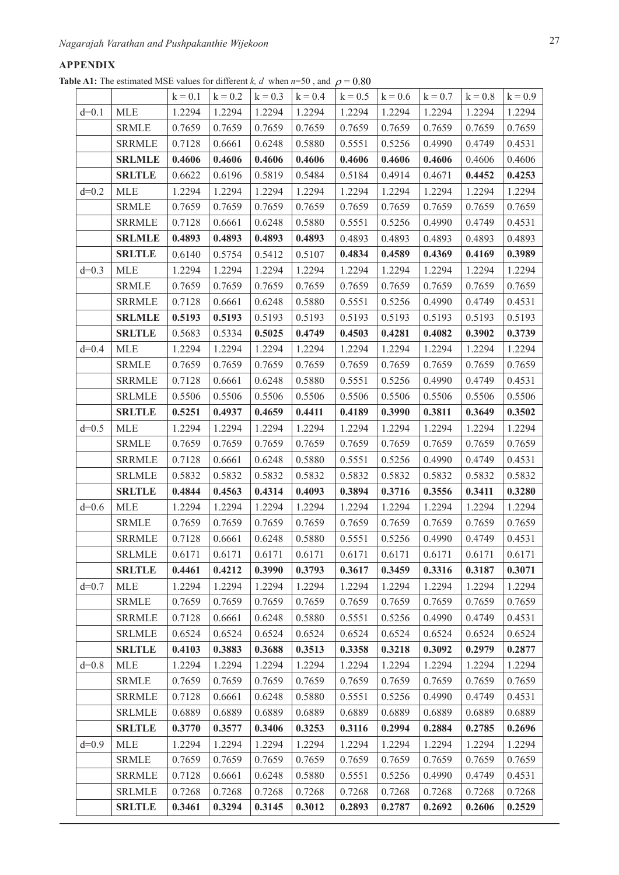# **APPENDIX**

**Table A1:** The estimated MSE values for different *k, d* when  $n=50$ , and  $\rho = 0.80$ 

|         |               | $k = 0.1$ | $k = 0.2$ | $k = 0.3$ | $k = 0.4$ | $k = 0.5$ | $k = 0.6$ | $k = 0.7$ | $k = 0.8$ | $k = 0.9$ |
|---------|---------------|-----------|-----------|-----------|-----------|-----------|-----------|-----------|-----------|-----------|
| $d=0.1$ | <b>MLE</b>    | 1.2294    | 1.2294    | 1.2294    | 1.2294    | 1.2294    | 1.2294    | 1.2294    | 1.2294    | 1.2294    |
|         | <b>SRMLE</b>  | 0.7659    | 0.7659    | 0.7659    | 0.7659    | 0.7659    | 0.7659    | 0.7659    | 0.7659    | 0.7659    |
|         | <b>SRRMLE</b> | 0.7128    | 0.6661    | 0.6248    | 0.5880    | 0.5551    | 0.5256    | 0.4990    | 0.4749    | 0.4531    |
|         | <b>SRLMLE</b> | 0.4606    | 0.4606    | 0.4606    | 0.4606    | 0.4606    | 0.4606    | 0.4606    | 0.4606    | 0.4606    |
|         | <b>SRLTLE</b> | 0.6622    | 0.6196    | 0.5819    | 0.5484    | 0.5184    | 0.4914    | 0.4671    | 0.4452    | 0.4253    |
| $d=0.2$ | MLE           | 1.2294    | 1.2294    | 1.2294    | 1.2294    | 1.2294    | 1.2294    | 1.2294    | 1.2294    | 1.2294    |
|         | <b>SRMLE</b>  | 0.7659    | 0.7659    | 0.7659    | 0.7659    | 0.7659    | 0.7659    | 0.7659    | 0.7659    | 0.7659    |
|         | <b>SRRMLE</b> | 0.7128    | 0.6661    | 0.6248    | 0.5880    | 0.5551    | 0.5256    | 0.4990    | 0.4749    | 0.4531    |
|         | <b>SRLMLE</b> | 0.4893    | 0.4893    | 0.4893    | 0.4893    | 0.4893    | 0.4893    | 0.4893    | 0.4893    | 0.4893    |
|         | <b>SRLTLE</b> | 0.6140    | 0.5754    | 0.5412    | 0.5107    | 0.4834    | 0.4589    | 0.4369    | 0.4169    | 0.3989    |
| $d=0.3$ | <b>MLE</b>    | 1.2294    | 1.2294    | 1.2294    | 1.2294    | 1.2294    | 1.2294    | 1.2294    | 1.2294    | 1.2294    |
|         | <b>SRMLE</b>  | 0.7659    | 0.7659    | 0.7659    | 0.7659    | 0.7659    | 0.7659    | 0.7659    | 0.7659    | 0.7659    |
|         | <b>SRRMLE</b> | 0.7128    | 0.6661    | 0.6248    | 0.5880    | 0.5551    | 0.5256    | 0.4990    | 0.4749    | 0.4531    |
|         | <b>SRLMLE</b> | 0.5193    | 0.5193    | 0.5193    | 0.5193    | 0.5193    | 0.5193    | 0.5193    | 0.5193    | 0.5193    |
|         | <b>SRLTLE</b> | 0.5683    | 0.5334    | 0.5025    | 0.4749    | 0.4503    | 0.4281    | 0.4082    | 0.3902    | 0.3739    |
| $d=0.4$ | MLE           | 1.2294    | 1.2294    | 1.2294    | 1.2294    | 1.2294    | 1.2294    | 1.2294    | 1.2294    | 1.2294    |
|         | <b>SRMLE</b>  | 0.7659    | 0.7659    | 0.7659    | 0.7659    | 0.7659    | 0.7659    | 0.7659    | 0.7659    | 0.7659    |
|         | <b>SRRMLE</b> | 0.7128    | 0.6661    | 0.6248    | 0.5880    | 0.5551    | 0.5256    | 0.4990    | 0.4749    | 0.4531    |
|         | <b>SRLMLE</b> | 0.5506    | 0.5506    | 0.5506    | 0.5506    | 0.5506    | 0.5506    | 0.5506    | 0.5506    | 0.5506    |
|         | <b>SRLTLE</b> | 0.5251    | 0.4937    | 0.4659    | 0.4411    | 0.4189    | 0.3990    | 0.3811    | 0.3649    | 0.3502    |
| $d=0.5$ | MLE           | 1.2294    | 1.2294    | 1.2294    | 1.2294    | 1.2294    | 1.2294    | 1.2294    | 1.2294    | 1.2294    |
|         | <b>SRMLE</b>  | 0.7659    | 0.7659    | 0.7659    | 0.7659    | 0.7659    | 0.7659    | 0.7659    | 0.7659    | 0.7659    |
|         | <b>SRRMLE</b> | 0.7128    | 0.6661    | 0.6248    | 0.5880    | 0.5551    | 0.5256    | 0.4990    | 0.4749    | 0.4531    |
|         | <b>SRLMLE</b> | 0.5832    | 0.5832    | 0.5832    | 0.5832    | 0.5832    | 0.5832    | 0.5832    | 0.5832    | 0.5832    |
|         | <b>SRLTLE</b> | 0.4844    | 0.4563    | 0.4314    | 0.4093    | 0.3894    | 0.3716    | 0.3556    | 0.3411    | 0.3280    |
| $d=0.6$ | MLE           | 1.2294    | 1.2294    | 1.2294    | 1.2294    | 1.2294    | 1.2294    | 1.2294    | 1.2294    | 1.2294    |
|         | <b>SRMLE</b>  | 0.7659    | 0.7659    | 0.7659    | 0.7659    | 0.7659    | 0.7659    | 0.7659    | 0.7659    | 0.7659    |
|         | <b>SRRMLE</b> | 0.7128    | 0.6661    | 0.6248    | 0.5880    | 0.5551    | 0.5256    | 0.4990    | 0.4749    | 0.4531    |
|         | <b>SRLMLE</b> | 0.6171    | 0.6171    | 0.6171    | 0.6171    | 0.6171    | 0.6171    | 0.6171    | 0.6171    | 0.6171    |
|         | <b>SRLTLE</b> | 0.4461    | 0.4212    | 0.3990    | 0.3793    | 0.3617    | 0.3459    | 0.3316    | 0.3187    | 0.3071    |
| $d=0.7$ | <b>MLE</b>    | 1.2294    | 1.2294    | 1.2294    | 1.2294    | 1.2294    | 1.2294    | 1.2294    | 1.2294    | 1.2294    |
|         | <b>SRMLE</b>  | 0.7659    | 0.7659    | 0.7659    | 0.7659    | 0.7659    | 0.7659    | 0.7659    | 0.7659    | 0.7659    |
|         | <b>SRRMLE</b> | 0.7128    | 0.6661    | 0.6248    | 0.5880    | 0.5551    | 0.5256    | 0.4990    | 0.4749    | 0.4531    |
|         | <b>SRLMLE</b> | 0.6524    | 0.6524    | 0.6524    | 0.6524    | 0.6524    | 0.6524    | 0.6524    | 0.6524    | 0.6524    |
|         | <b>SRLTLE</b> | 0.4103    | 0.3883    | 0.3688    | 0.3513    | 0.3358    | 0.3218    | 0.3092    | 0.2979    | 0.2877    |
| $d=0.8$ | MLE           | 1.2294    | 1.2294    | 1.2294    | 1.2294    | 1.2294    | 1.2294    | 1.2294    | 1.2294    | 1.2294    |
|         | <b>SRMLE</b>  | 0.7659    | 0.7659    | 0.7659    | 0.7659    | 0.7659    | 0.7659    | 0.7659    | 0.7659    | 0.7659    |
|         | <b>SRRMLE</b> | 0.7128    | 0.6661    | 0.6248    | 0.5880    | 0.5551    | 0.5256    | 0.4990    | 0.4749    | 0.4531    |
|         | <b>SRLMLE</b> | 0.6889    | 0.6889    | 0.6889    | 0.6889    | 0.6889    | 0.6889    | 0.6889    | 0.6889    | 0.6889    |
|         | <b>SRLTLE</b> | 0.3770    | 0.3577    | 0.3406    | 0.3253    | 0.3116    | 0.2994    | 0.2884    | 0.2785    | 0.2696    |
| $d=0.9$ | <b>MLE</b>    | 1.2294    | 1.2294    | 1.2294    | 1.2294    | 1.2294    | 1.2294    | 1.2294    | 1.2294    | 1.2294    |
|         | <b>SRMLE</b>  | 0.7659    | 0.7659    | 0.7659    | 0.7659    | 0.7659    | 0.7659    | 0.7659    | 0.7659    | 0.7659    |
|         | <b>SRRMLE</b> | 0.7128    | 0.6661    | 0.6248    | 0.5880    | 0.5551    | 0.5256    | 0.4990    | 0.4749    | 0.4531    |
|         | <b>SRLMLE</b> | 0.7268    | 0.7268    | 0.7268    | 0.7268    | 0.7268    | 0.7268    | 0.7268    | 0.7268    | 0.7268    |
|         | <b>SRLTLE</b> | 0.3461    | 0.3294    | 0.3145    | 0.3012    | 0.2893    | 0.2787    | 0.2692    | 0.2606    | 0.2529    |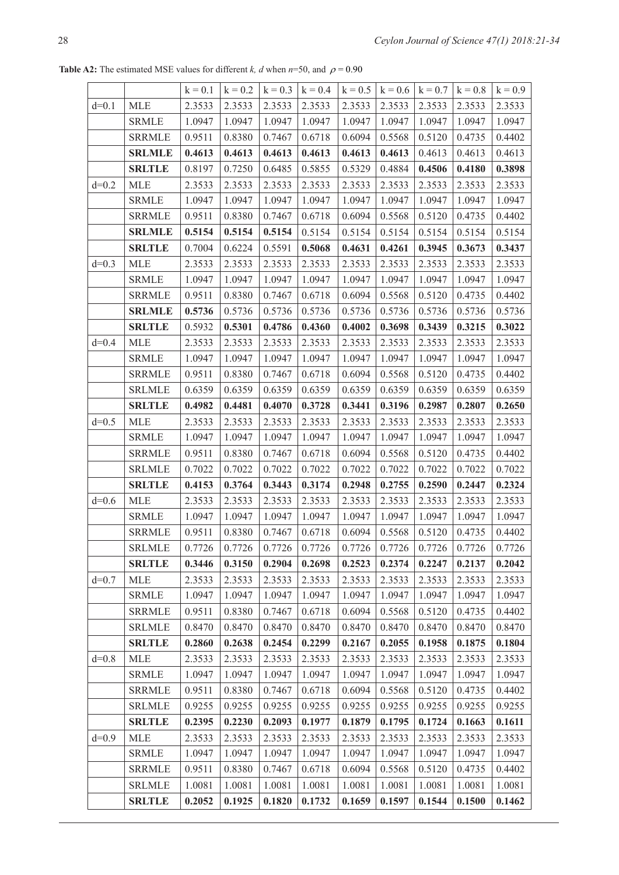**Table A2:** The estimated MSE values for different *k, d* when  $n=50$ , and  $\rho = 0.90$ 

|         |               | $k = 0.1$ | $k = 0.2$ | $k = 0.3$ | $k = 0.4$ | $k = 0.5$ | $k = 0.6$ | $k = 0.7$ | $k = 0.8$ | $k = 0.9$ |
|---------|---------------|-----------|-----------|-----------|-----------|-----------|-----------|-----------|-----------|-----------|
| $d=0.1$ | <b>MLE</b>    | 2.3533    | 2.3533    | 2.3533    | 2.3533    | 2.3533    | 2.3533    | 2.3533    | 2.3533    | 2.3533    |
|         | <b>SRMLE</b>  | 1.0947    | 1.0947    | 1.0947    | 1.0947    | 1.0947    | 1.0947    | 1.0947    | 1.0947    | 1.0947    |
|         | <b>SRRMLE</b> | 0.9511    | 0.8380    | 0.7467    | 0.6718    | 0.6094    | 0.5568    | 0.5120    | 0.4735    | 0.4402    |
|         | <b>SRLMLE</b> | 0.4613    | 0.4613    | 0.4613    | 0.4613    | 0.4613    | 0.4613    | 0.4613    | 0.4613    | 0.4613    |
|         | <b>SRLTLE</b> | 0.8197    | 0.7250    | 0.6485    | 0.5855    | 0.5329    | 0.4884    | 0.4506    | 0.4180    | 0.3898    |
| $d=0.2$ | MLE           | 2.3533    | 2.3533    | 2.3533    | 2.3533    | 2.3533    | 2.3533    | 2.3533    | 2.3533    | 2.3533    |
|         | <b>SRMLE</b>  | 1.0947    | 1.0947    | 1.0947    | 1.0947    | 1.0947    | 1.0947    | 1.0947    | 1.0947    | 1.0947    |
|         | SRRMLE        | 0.9511    | 0.8380    | 0.7467    | 0.6718    | 0.6094    | 0.5568    | 0.5120    | 0.4735    | 0.4402    |
|         | <b>SRLMLE</b> | 0.5154    | 0.5154    | 0.5154    | 0.5154    | 0.5154    | 0.5154    | 0.5154    | 0.5154    | 0.5154    |
|         | <b>SRLTLE</b> | 0.7004    | 0.6224    | 0.5591    | 0.5068    | 0.4631    | 0.4261    | 0.3945    | 0.3673    | 0.3437    |
| $d=0.3$ | MLE           | 2.3533    | 2.3533    | 2.3533    | 2.3533    | 2.3533    | 2.3533    | 2.3533    | 2.3533    | 2.3533    |
|         | <b>SRMLE</b>  | 1.0947    | 1.0947    | 1.0947    | 1.0947    | 1.0947    | 1.0947    | 1.0947    | 1.0947    | 1.0947    |
|         | <b>SRRMLE</b> | 0.9511    | 0.8380    | 0.7467    | 0.6718    | 0.6094    | 0.5568    | 0.5120    | 0.4735    | 0.4402    |
|         | <b>SRLMLE</b> | 0.5736    | 0.5736    | 0.5736    | 0.5736    | 0.5736    | 0.5736    | 0.5736    | 0.5736    | 0.5736    |
|         | <b>SRLTLE</b> | 0.5932    | 0.5301    | 0.4786    | 0.4360    | 0.4002    | 0.3698    | 0.3439    | 0.3215    | 0.3022    |
| $d=0.4$ | MLE           | 2.3533    | 2.3533    | 2.3533    | 2.3533    | 2.3533    | 2.3533    | 2.3533    | 2.3533    | 2.3533    |
|         | <b>SRMLE</b>  | 1.0947    | 1.0947    | 1.0947    | 1.0947    | 1.0947    | 1.0947    | 1.0947    | 1.0947    | 1.0947    |
|         | <b>SRRMLE</b> | 0.9511    | 0.8380    | 0.7467    | 0.6718    | 0.6094    | 0.5568    | 0.5120    | 0.4735    | 0.4402    |
|         | <b>SRLMLE</b> | 0.6359    | 0.6359    | 0.6359    | 0.6359    | 0.6359    | 0.6359    | 0.6359    | 0.6359    | 0.6359    |
|         | <b>SRLTLE</b> | 0.4982    | 0.4481    | 0.4070    | 0.3728    | 0.3441    | 0.3196    | 0.2987    | 0.2807    | 0.2650    |
| $d=0.5$ | MLE           | 2.3533    | 2.3533    | 2.3533    | 2.3533    | 2.3533    | 2.3533    | 2.3533    | 2.3533    | 2.3533    |
|         | <b>SRMLE</b>  | 1.0947    | 1.0947    | 1.0947    | 1.0947    | 1.0947    | 1.0947    | 1.0947    | 1.0947    | 1.0947    |
|         | <b>SRRMLE</b> | 0.9511    | 0.8380    | 0.7467    | 0.6718    | 0.6094    | 0.5568    | 0.5120    | 0.4735    | 0.4402    |
|         | <b>SRLMLE</b> | 0.7022    | 0.7022    | 0.7022    | 0.7022    | 0.7022    | 0.7022    | 0.7022    | 0.7022    | 0.7022    |
|         | <b>SRLTLE</b> | 0.4153    | 0.3764    | 0.3443    | 0.3174    | 0.2948    | 0.2755    | 0.2590    | 0.2447    | 0.2324    |
| $d=0.6$ | <b>MLE</b>    | 2.3533    | 2.3533    | 2.3533    | 2.3533    | 2.3533    | 2.3533    | 2.3533    | 2.3533    | 2.3533    |
|         | <b>SRMLE</b>  | 1.0947    | 1.0947    | 1.0947    | 1.0947    | 1.0947    | 1.0947    | 1.0947    | 1.0947    | 1.0947    |
|         | <b>SRRMLE</b> | 0.9511    | 0.8380    | 0.7467    | 0.6718    | 0.6094    | 0.5568    | 0.5120    | 0.4735    | 0.4402    |
|         | <b>SRLMLE</b> | 0.7726    | 0.7726    | 0.7726    | 0.7726    | 0.7726    | 0.7726    | 0.7726    | 0.7726    | 0.7726    |
|         | <b>SRLTLE</b> | 0.3446    | 0.3150    | 0.2904    | 0.2698    | 0.2523    | 0.2374    | 0.2247    | 0.2137    | 0.2042    |
| $d=0.7$ | <b>MLE</b>    | 2.3533    | 2.3533    | 2.3533    | 2.3533    | 2.3533    | 2.3533    | 2.3533    | 2.3533    | 2.3533    |
|         | <b>SRMLE</b>  | 1.0947    | 1.0947    | 1.0947    | 1.0947    | 1.0947    | 1.0947    | 1.0947    | 1.0947    | 1.0947    |
|         | <b>SRRMLE</b> | 0.9511    | 0.8380    | 0.7467    | 0.6718    | 0.6094    | 0.5568    | 0.5120    | 0.4735    | 0.4402    |
|         | <b>SRLMLE</b> | 0.8470    | 0.8470    | 0.8470    | 0.8470    | 0.8470    | 0.8470    | 0.8470    | 0.8470    | 0.8470    |
|         | <b>SRLTLE</b> | 0.2860    | 0.2638    | 0.2454    | 0.2299    | 0.2167    | 0.2055    | 0.1958    | 0.1875    | 0.1804    |
| $d=0.8$ | <b>MLE</b>    | 2.3533    | 2.3533    | 2.3533    | 2.3533    | 2.3533    | 2.3533    | 2.3533    | 2.3533    | 2.3533    |
|         | <b>SRMLE</b>  | 1.0947    | 1.0947    | 1.0947    | 1.0947    | 1.0947    | 1.0947    | 1.0947    | 1.0947    | 1.0947    |
|         | <b>SRRMLE</b> | 0.9511    | 0.8380    | 0.7467    | 0.6718    | 0.6094    | 0.5568    | 0.5120    | 0.4735    | 0.4402    |
|         | <b>SRLMLE</b> | 0.9255    | 0.9255    | 0.9255    | 0.9255    | 0.9255    | 0.9255    | 0.9255    | 0.9255    | 0.9255    |
|         | <b>SRLTLE</b> | 0.2395    | 0.2230    | 0.2093    | 0.1977    | 0.1879    | 0.1795    | 0.1724    | 0.1663    | 0.1611    |
| $d=0.9$ | <b>MLE</b>    | 2.3533    | 2.3533    | 2.3533    | 2.3533    | 2.3533    | 2.3533    | 2.3533    | 2.3533    | 2.3533    |
|         | <b>SRMLE</b>  | 1.0947    | 1.0947    | 1.0947    | 1.0947    | 1.0947    | 1.0947    | 1.0947    | 1.0947    | 1.0947    |
|         | <b>SRRMLE</b> | 0.9511    | 0.8380    | 0.7467    | 0.6718    | 0.6094    | 0.5568    | 0.5120    | 0.4735    | 0.4402    |
|         | <b>SRLMLE</b> | 1.0081    | 1.0081    | 1.0081    | 1.0081    | 1.0081    | 1.0081    | 1.0081    | 1.0081    | 1.0081    |
|         | <b>SRLTLE</b> | 0.2052    | 0.1925    | 0.1820    | 0.1732    | 0.1659    | 0.1597    | 0.1544    | 0.1500    | 0.1462    |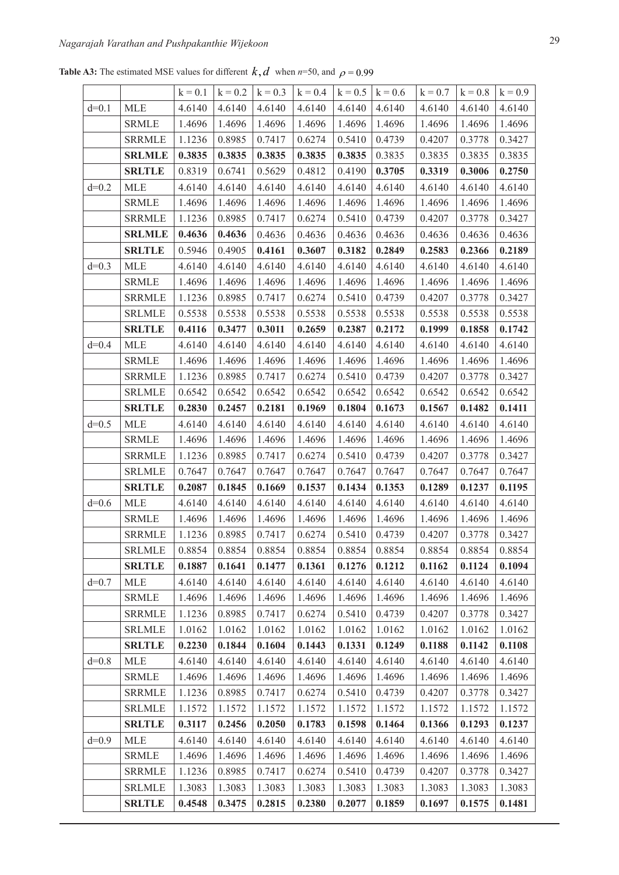**Table A3:** The estimated MSE values for different  $k$ ,  $d$  when  $n=50$ , and  $\rho = 0.99$ 

|         |               | $k = 0.1$ | $k = 0.2$                         | $k = 0.3$ | $k = 0.4$ | $k = 0.5$   $k = 0.6$ |        | $k = 0.7$ | $k = 0.8$ | $k = 0.9$ |
|---------|---------------|-----------|-----------------------------------|-----------|-----------|-----------------------|--------|-----------|-----------|-----------|
| $d=0.1$ | <b>MLE</b>    | 4.6140    | 4.6140                            | 4.6140    | 4.6140    | 4.6140                | 4.6140 | 4.6140    | 4.6140    | 4.6140    |
|         | <b>SRMLE</b>  | 1.4696    | 1.4696                            | 1.4696    | 1.4696    | 1.4696                | 1.4696 | 1.4696    | 1.4696    | 1.4696    |
|         | <b>SRRMLE</b> | 1.1236    | 0.8985                            | 0.7417    | 0.6274    | 0.5410                | 0.4739 | 0.4207    | 0.3778    | 0.3427    |
|         | <b>SRLMLE</b> | 0.3835    | 0.3835                            | 0.3835    | 0.3835    | 0.3835                | 0.3835 | 0.3835    | 0.3835    | 0.3835    |
|         | <b>SRLTLE</b> | 0.8319    | 0.6741                            | 0.5629    | 0.4812    | 0.4190                | 0.3705 | 0.3319    | 0.3006    | 0.2750    |
| $d=0.2$ | <b>MLE</b>    | 4.6140    | 4.6140                            | 4.6140    | 4.6140    | 4.6140                | 4.6140 | 4.6140    | 4.6140    | 4.6140    |
|         | <b>SRMLE</b>  | 1.4696    | 1.4696                            | 1.4696    | 1.4696    | 1.4696                | 1.4696 | 1.4696    | 1.4696    | 1.4696    |
|         | <b>SRRMLE</b> | 1.1236    | 0.8985                            | 0.7417    | 0.6274    | 0.5410                | 0.4739 | 0.4207    | 0.3778    | 0.3427    |
|         | <b>SRLMLE</b> | 0.4636    | 0.4636                            | 0.4636    | 0.4636    | 0.4636                | 0.4636 | 0.4636    | 0.4636    | 0.4636    |
|         | <b>SRLTLE</b> | 0.5946    | 0.4905                            | 0.4161    | 0.3607    | 0.3182                | 0.2849 | 0.2583    | 0.2366    | 0.2189    |
| $d=0.3$ | MLE           | 4.6140    | 4.6140                            | 4.6140    | 4.6140    | 4.6140                | 4.6140 | 4.6140    | 4.6140    | 4.6140    |
|         | <b>SRMLE</b>  | 1.4696    | 1.4696                            | 1.4696    | 1.4696    | 1.4696                | 1.4696 | 1.4696    | 1.4696    | 1.4696    |
|         | <b>SRRMLE</b> | 1.1236    | 0.8985                            | 0.7417    | 0.6274    | 0.5410                | 0.4739 | 0.4207    | 0.3778    | 0.3427    |
|         | <b>SRLMLE</b> | 0.5538    | 0.5538                            | 0.5538    | 0.5538    | 0.5538                | 0.5538 | 0.5538    | 0.5538    | 0.5538    |
|         | <b>SRLTLE</b> | 0.4116    | 0.3477                            | 0.3011    | 0.2659    | 0.2387                | 0.2172 | 0.1999    | 0.1858    | 0.1742    |
| $d=0.4$ | MLE           | 4.6140    | 4.6140                            | 4.6140    | 4.6140    | 4.6140                | 4.6140 | 4.6140    | 4.6140    | 4.6140    |
|         | <b>SRMLE</b>  | 1.4696    | 1.4696                            | 1.4696    | 1.4696    | 1.4696                | 1.4696 | 1.4696    | 1.4696    | 1.4696    |
|         | <b>SRRMLE</b> | 1.1236    | 0.8985                            | 0.7417    | 0.6274    | 0.5410                | 0.4739 | 0.4207    | 0.3778    | 0.3427    |
|         | <b>SRLMLE</b> | 0.6542    | 0.6542                            | 0.6542    | 0.6542    | 0.6542                | 0.6542 | 0.6542    | 0.6542    | 0.6542    |
|         | <b>SRLTLE</b> | 0.2830    | 0.2457                            | 0.2181    | 0.1969    | 0.1804                | 0.1673 | 0.1567    | 0.1482    | 0.1411    |
| $d=0.5$ | <b>MLE</b>    | 4.6140    | 4.6140                            | 4.6140    | 4.6140    | 4.6140                | 4.6140 | 4.6140    | 4.6140    | 4.6140    |
|         | <b>SRMLE</b>  | 1.4696    | 1.4696                            | 1.4696    | 1.4696    | 1.4696                | 1.4696 | 1.4696    | 1.4696    | 1.4696    |
|         | <b>SRRMLE</b> | 1.1236    | 0.8985                            | 0.7417    | 0.6274    | 0.5410                | 0.4739 | 0.4207    | 0.3778    | 0.3427    |
|         | <b>SRLMLE</b> | 0.7647    | 0.7647                            | 0.7647    | 0.7647    | 0.7647                | 0.7647 | 0.7647    | 0.7647    | 0.7647    |
|         | <b>SRLTLE</b> | 0.2087    | 0.1845                            | 0.1669    | 0.1537    | 0.1434                | 0.1353 | 0.1289    | 0.1237    | 0.1195    |
| $d=0.6$ | MLE           | 4.6140    | 4.6140                            | 4.6140    | 4.6140    | 4.6140                | 4.6140 | 4.6140    | 4.6140    | 4.6140    |
|         | <b>SRMLE</b>  | 1.4696    | 1.4696                            | 1.4696    | 1.4696    | 1.4696                | 1.4696 | 1.4696    | 1.4696    | 1.4696    |
|         | <b>SRRMLE</b> | 1.1236    | 0.8985                            | 0.7417    | 0.6274    | 0.5410                | 0.4739 | 0.4207    | 0.3778    | 0.3427    |
|         | <b>SRLMLE</b> | 0.8854    | $\vert 0.8854 \vert 0.8854 \vert$ |           | 0.8854    | $0.8854$ 0.8854       |        | 0.8854    | 0.8854    | 0.8854    |
|         | <b>SRLTLE</b> | 0.1887    | 0.1641                            | 0.1477    | 0.1361    | 0.1276                | 0.1212 | 0.1162    | 0.1124    | 0.1094    |
| $d=0.7$ | MLE           | 4.6140    | 4.6140                            | 4.6140    | 4.6140    | 4.6140                | 4.6140 | 4.6140    | 4.6140    | 4.6140    |
|         | <b>SRMLE</b>  | 1.4696    | 1.4696                            | 1.4696    | 1.4696    | 1.4696                | 1.4696 | 1.4696    | 1.4696    | 1.4696    |
|         | <b>SRRMLE</b> | 1.1236    | 0.8985                            | 0.7417    | 0.6274    | 0.5410                | 0.4739 | 0.4207    | 0.3778    | 0.3427    |
|         | <b>SRLMLE</b> | 1.0162    | 1.0162                            | 1.0162    | 1.0162    | 1.0162                | 1.0162 | 1.0162    | 1.0162    | 1.0162    |
|         | <b>SRLTLE</b> | 0.2230    | 0.1844                            | 0.1604    | 0.1443    | 0.1331                | 0.1249 | 0.1188    | 0.1142    | 0.1108    |
| $d=0.8$ | MLE           | 4.6140    | 4.6140                            | 4.6140    | 4.6140    | 4.6140                | 4.6140 | 4.6140    | 4.6140    | 4.6140    |
|         | <b>SRMLE</b>  | 1.4696    | 1.4696                            | 1.4696    | 1.4696    | 1.4696                | 1.4696 | 1.4696    | 1.4696    | 1.4696    |
|         | <b>SRRMLE</b> | 1.1236    | 0.8985                            | 0.7417    | 0.6274    | 0.5410                | 0.4739 | 0.4207    | 0.3778    | 0.3427    |
|         | <b>SRLMLE</b> | 1.1572    | 1.1572                            | 1.1572    | 1.1572    | 1.1572                | 1.1572 | 1.1572    | 1.1572    | 1.1572    |
|         | <b>SRLTLE</b> | 0.3117    | 0.2456                            | 0.2050    | 0.1783    | 0.1598                | 0.1464 | 0.1366    | 0.1293    | 0.1237    |
| $d=0.9$ | <b>MLE</b>    | 4.6140    | 4.6140                            | 4.6140    | 4.6140    | 4.6140                | 4.6140 | 4.6140    | 4.6140    | 4.6140    |
|         | <b>SRMLE</b>  | 1.4696    | 1.4696                            | 1.4696    | 1.4696    | 1.4696                | 1.4696 | 1.4696    | 1.4696    | 1.4696    |
|         | <b>SRRMLE</b> | 1.1236    | 0.8985                            | 0.7417    | 0.6274    | 0.5410                | 0.4739 | 0.4207    | 0.3778    | 0.3427    |
|         | <b>SRLMLE</b> | 1.3083    | 1.3083                            | 1.3083    | 1.3083    | 1.3083                | 1.3083 | 1.3083    | 1.3083    | 1.3083    |
|         | <b>SRLTLE</b> | 0.4548    | 0.3475                            | 0.2815    | 0.2380    | 0.2077                | 0.1859 | 0.1697    | 0.1575    | 0.1481    |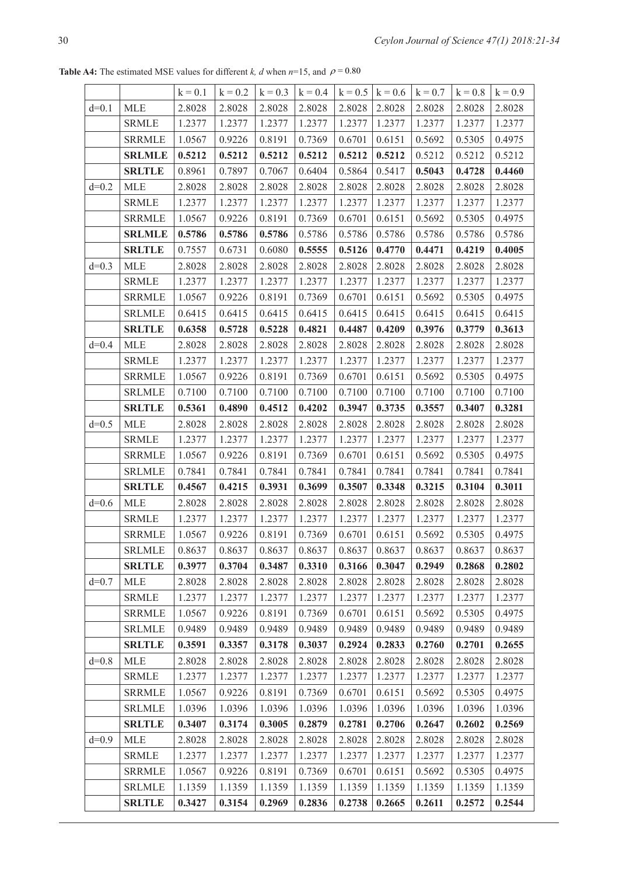|         |               | $k = 0.1$ | $k = 0.2$ | $k = 0.3$ | $k = 0.4$ | $k = 0.5$ | $k = 0.6$ | $k = 0.7$ | $k = 0.8$ | $k = 0.9$ |
|---------|---------------|-----------|-----------|-----------|-----------|-----------|-----------|-----------|-----------|-----------|
| $d=0.1$ | <b>MLE</b>    | 2.8028    | 2.8028    | 2.8028    | 2.8028    | 2.8028    | 2.8028    | 2.8028    | 2.8028    | 2.8028    |
|         | <b>SRMLE</b>  | 1.2377    | 1.2377    | 1.2377    | 1.2377    | 1.2377    | 1.2377    | 1.2377    | 1.2377    | 1.2377    |
|         | <b>SRRMLE</b> | 1.0567    | 0.9226    | 0.8191    | 0.7369    | 0.6701    | 0.6151    | 0.5692    | 0.5305    | 0.4975    |
|         | <b>SRLMLE</b> | 0.5212    | 0.5212    | 0.5212    | 0.5212    | 0.5212    | 0.5212    | 0.5212    | 0.5212    | 0.5212    |
|         | <b>SRLTLE</b> | 0.8961    | 0.7897    | 0.7067    | 0.6404    | 0.5864    | 0.5417    | 0.5043    | 0.4728    | 0.4460    |
| $d=0.2$ | <b>MLE</b>    | 2.8028    | 2.8028    | 2.8028    | 2.8028    | 2.8028    | 2.8028    | 2.8028    | 2.8028    | 2.8028    |
|         | <b>SRMLE</b>  | 1.2377    | 1.2377    | 1.2377    | 1.2377    | 1.2377    | 1.2377    | 1.2377    | 1.2377    | 1.2377    |
|         | <b>SRRMLE</b> | 1.0567    | 0.9226    | 0.8191    | 0.7369    | 0.6701    | 0.6151    | 0.5692    | 0.5305    | 0.4975    |
|         | <b>SRLMLE</b> | 0.5786    | 0.5786    | 0.5786    | 0.5786    | 0.5786    | 0.5786    | 0.5786    | 0.5786    | 0.5786    |
|         | <b>SRLTLE</b> | 0.7557    | 0.6731    | 0.6080    | 0.5555    | 0.5126    | 0.4770    | 0.4471    | 0.4219    | 0.4005    |
| $d=0.3$ | <b>MLE</b>    | 2.8028    | 2.8028    | 2.8028    | 2.8028    | 2.8028    | 2.8028    | 2.8028    | 2.8028    | 2.8028    |
|         | <b>SRMLE</b>  | 1.2377    | 1.2377    | 1.2377    | 1.2377    | 1.2377    | 1.2377    | 1.2377    | 1.2377    | 1.2377    |
|         | <b>SRRMLE</b> | 1.0567    | 0.9226    | 0.8191    | 0.7369    | 0.6701    | 0.6151    | 0.5692    | 0.5305    | 0.4975    |
|         | <b>SRLMLE</b> | 0.6415    | 0.6415    | 0.6415    | 0.6415    | 0.6415    | 0.6415    | 0.6415    | 0.6415    | 0.6415    |
|         | <b>SRLTLE</b> | 0.6358    | 0.5728    | 0.5228    | 0.4821    | 0.4487    | 0.4209    | 0.3976    | 0.3779    | 0.3613    |
| $d=0.4$ | <b>MLE</b>    | 2.8028    | 2.8028    | 2.8028    | 2.8028    | 2.8028    | 2.8028    | 2.8028    | 2.8028    | 2.8028    |
|         | <b>SRMLE</b>  | 1.2377    | 1.2377    | 1.2377    | 1.2377    | 1.2377    | 1.2377    | 1.2377    | 1.2377    | 1.2377    |
|         | <b>SRRMLE</b> | 1.0567    | 0.9226    | 0.8191    | 0.7369    | 0.6701    | 0.6151    | 0.5692    | 0.5305    | 0.4975    |
|         | <b>SRLMLE</b> | 0.7100    | 0.7100    | 0.7100    | 0.7100    | 0.7100    | 0.7100    | 0.7100    | 0.7100    | 0.7100    |
|         | <b>SRLTLE</b> | 0.5361    | 0.4890    | 0.4512    | 0.4202    | 0.3947    | 0.3735    | 0.3557    | 0.3407    | 0.3281    |
| $d=0.5$ | MLE           | 2.8028    | 2.8028    | 2.8028    | 2.8028    | 2.8028    | 2.8028    | 2.8028    | 2.8028    | 2.8028    |
|         | <b>SRMLE</b>  | 1.2377    | 1.2377    | 1.2377    | 1.2377    | 1.2377    | 1.2377    | 1.2377    | 1.2377    | 1.2377    |
|         | <b>SRRMLE</b> | 1.0567    | 0.9226    | 0.8191    | 0.7369    | 0.6701    | 0.6151    | 0.5692    | 0.5305    | 0.4975    |
|         | <b>SRLMLE</b> | 0.7841    | 0.7841    | 0.7841    | 0.7841    | 0.7841    | 0.7841    | 0.7841    | 0.7841    | 0.7841    |
|         | <b>SRLTLE</b> | 0.4567    | 0.4215    | 0.3931    | 0.3699    | 0.3507    | 0.3348    | 0.3215    | 0.3104    | 0.3011    |
| $d=0.6$ | <b>MLE</b>    | 2.8028    | 2.8028    | 2.8028    | 2.8028    | 2.8028    | 2.8028    | 2.8028    | 2.8028    | 2.8028    |
|         | <b>SRMLE</b>  | 1.2377    | 1.2377    | 1.2377    | 1.2377    | 1.2377    | 1.2377    | 1.2377    | 1.2377    | 1.2377    |
|         | <b>SRRMLE</b> | 1.0567    | 0.9226    | 0.8191    | 0.7369    | 0.6701    | 0.6151    | 0.5692    | 0.5305    | 0.4975    |
|         | <b>SRLMLE</b> | 0.8637    | 0.8637    | 0.8637    | 0.8637    | 0.8637    | 0.8637    | 0.8637    | 0.8637    | 0.8637    |
|         | <b>SRLTLE</b> | 0.3977    | 0.3704    | 0.3487    | 0.3310    | 0.3166    | 0.3047    | 0.2949    | 0.2868    | 0.2802    |
| $d=0.7$ | <b>MLE</b>    | 2.8028    | 2.8028    | 2.8028    | 2.8028    | 2.8028    | 2.8028    | 2.8028    | 2.8028    | 2.8028    |
|         | <b>SRMLE</b>  | 1.2377    | 1.2377    | 1.2377    | 1.2377    | 1.2377    | 1.2377    | 1.2377    | 1.2377    | 1.2377    |
|         | <b>SRRMLE</b> | 1.0567    | 0.9226    | 0.8191    | 0.7369    | 0.6701    | 0.6151    | 0.5692    | 0.5305    | 0.4975    |
|         | <b>SRLMLE</b> | 0.9489    | 0.9489    | 0.9489    | 0.9489    | 0.9489    | 0.9489    | 0.9489    | 0.9489    | 0.9489    |
|         | <b>SRLTLE</b> | 0.3591    | 0.3357    | 0.3178    | 0.3037    | 0.2924    | 0.2833    | 0.2760    | 0.2701    | 0.2655    |
| $d=0.8$ | <b>MLE</b>    | 2.8028    | 2.8028    | 2.8028    | 2.8028    | 2.8028    | 2.8028    | 2.8028    | 2.8028    | 2.8028    |
|         | <b>SRMLE</b>  | 1.2377    | 1.2377    | 1.2377    | 1.2377    | 1.2377    | 1.2377    | 1.2377    | 1.2377    | 1.2377    |
|         | <b>SRRMLE</b> | 1.0567    | 0.9226    | 0.8191    | 0.7369    | 0.6701    | 0.6151    | 0.5692    | 0.5305    | 0.4975    |
|         | <b>SRLMLE</b> | 1.0396    | 1.0396    | 1.0396    | 1.0396    | 1.0396    | 1.0396    | 1.0396    | 1.0396    | 1.0396    |
|         | <b>SRLTLE</b> | 0.3407    | 0.3174    | 0.3005    | 0.2879    | 0.2781    | 0.2706    | 0.2647    | 0.2602    | 0.2569    |
| $d=0.9$ | <b>MLE</b>    | 2.8028    | 2.8028    | 2.8028    | 2.8028    | 2.8028    | 2.8028    | 2.8028    | 2.8028    | 2.8028    |
|         | <b>SRMLE</b>  | 1.2377    | 1.2377    | 1.2377    | 1.2377    | 1.2377    | 1.2377    | 1.2377    | 1.2377    | 1.2377    |
|         | <b>SRRMLE</b> | 1.0567    | 0.9226    | 0.8191    | 0.7369    | 0.6701    | 0.6151    | 0.5692    | 0.5305    | 0.4975    |
|         | <b>SRLMLE</b> | 1.1359    | 1.1359    | 1.1359    | 1.1359    | 1.1359    | 1.1359    | 1.1359    | 1.1359    | 1.1359    |
|         | <b>SRLTLE</b> | 0.3427    | 0.3154    | 0.2969    | 0.2836    | 0.2738    | 0.2665    | 0.2611    | 0.2572    | 0.2544    |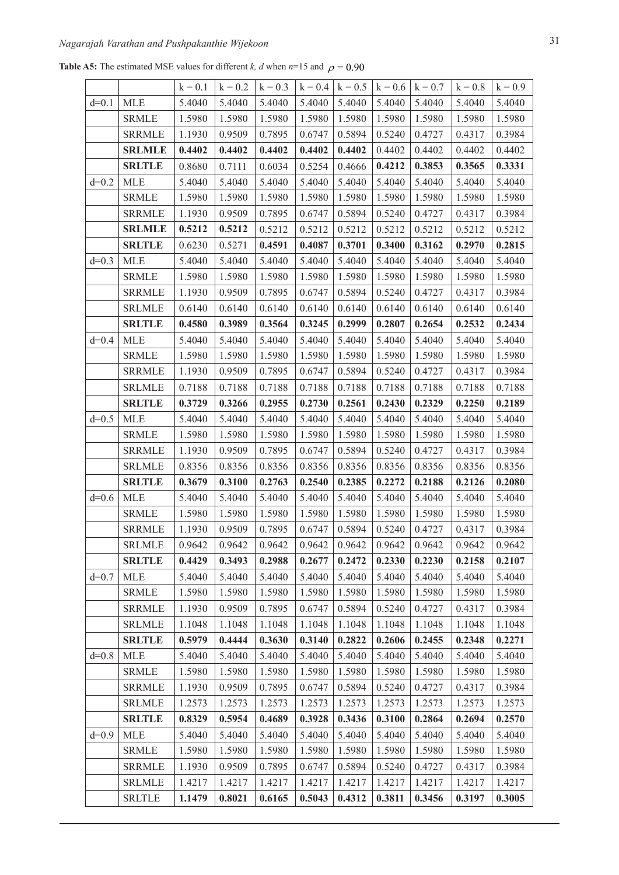| <b>Table A5:</b> The estimated MSE values for different k, d when $n=15$ and $\rho = 0.90$ |  |
|--------------------------------------------------------------------------------------------|--|
|--------------------------------------------------------------------------------------------|--|

|         |               | $k = 0.1$ | $k = 0.2$ | $k = 0.3$ | $k = 0.4$ | $k = 0.5$ | $k = 0.6$ | $k = 0.7$ | $k = 0.8$ | $k = 0.9$ |
|---------|---------------|-----------|-----------|-----------|-----------|-----------|-----------|-----------|-----------|-----------|
| $d=0.1$ | MLE           | 5.4040    | 5.4040    | 5.4040    | 5.4040    | 5.4040    | 5.4040    | 5.4040    | 5.4040    | 5.4040    |
|         | <b>SRMLE</b>  | 1.5980    | 1.5980    | 1.5980    | 1.5980    | 1.5980    | 1.5980    | 1.5980    | 1.5980    | 1.5980    |
|         | <b>SRRMLE</b> | 1.1930    | 0.9509    | 0.7895    | 0.6747    | 0.5894    | 0.5240    | 0.4727    | 0.4317    | 0.3984    |
|         | <b>SRLMLE</b> | 0.4402    | 0.4402    | 0.4402    | 0.4402    | 0.4402    | 0.4402    | 0.4402    | 0.4402    | 0.4402    |
|         | <b>SRLTLE</b> | 0.8680    | 0.7111    | 0.6034    | 0.5254    | 0.4666    | 0.4212    | 0.3853    | 0.3565    | 0.3331    |
| $d=0.2$ | <b>MLE</b>    | 5.4040    | 5.4040    | 5.4040    | 5.4040    | 5.4040    | 5.4040    | 5.4040    | 5.4040    | 5.4040    |
|         | <b>SRMLE</b>  | 1.5980    | 1.5980    | 1.5980    | 1.5980    | 1.5980    | 1.5980    | 1.5980    | 1.5980    | 1.5980    |
|         | <b>SRRMLE</b> | 1.1930    | 0.9509    | 0.7895    | 0.6747    | 0.5894    | 0.5240    | 0.4727    | 0.4317    | 0.3984    |
|         | <b>SRLMLE</b> | 0.5212    | 0.5212    | 0.5212    | 0.5212    | 0.5212    | 0.5212    | 0.5212    | 0.5212    | 0.5212    |
|         | <b>SRLTLE</b> | 0.6230    | 0.5271    | 0.4591    | 0.4087    | 0.3701    | 0.3400    | 0.3162    | 0.2970    | 0.2815    |
| $d=0.3$ | <b>MLE</b>    | 5.4040    | 5.4040    | 5.4040    | 5.4040    | 5.4040    | 5.4040    | 5.4040    | 5.4040    | 5.4040    |
|         | <b>SRMLE</b>  | 1.5980    | 1.5980    | 1.5980    | 1.5980    | 1.5980    | 1.5980    | 1.5980    | 1.5980    | 1.5980    |
|         | <b>SRRMLE</b> | 1.1930    | 0.9509    | 0.7895    | 0.6747    | 0.5894    | 0.5240    | 0.4727    | 0.4317    | 0.3984    |
|         | <b>SRLMLE</b> | 0.6140    | 0.6140    | 0.6140    | 0.6140    | 0.6140    | 0.6140    | 0.6140    | 0.6140    | 0.6140    |
|         | <b>SRLTLE</b> | 0.4580    | 0.3989    | 0.3564    | 0.3245    | 0.2999    | 0.2807    | 0.2654    | 0.2532    | 0.2434    |
| $d=0.4$ | <b>MLE</b>    | 5.4040    | 5.4040    | 5.4040    | 5.4040    | 5.4040    | 5.4040    | 5.4040    | 5.4040    | 5.4040    |
|         | <b>SRMLE</b>  | 1.5980    | 1.5980    | 1.5980    | 1.5980    | 1.5980    | 1.5980    | 1.5980    | 1.5980    | 1.5980    |
|         | <b>SRRMLE</b> | 1.1930    | 0.9509    | 0.7895    | 0.6747    | 0.5894    | 0.5240    | 0.4727    | 0.4317    | 0.3984    |
|         | <b>SRLMLE</b> | 0.7188    | 0.7188    | 0.7188    | 0.7188    | 0.7188    | 0.7188    | 0.7188    | 0.7188    | 0.7188    |
|         | <b>SRLTLE</b> | 0.3729    | 0.3266    | 0.2955    | 0.2730    | 0.2561    | 0.2430    | 0.2329    | 0.2250    | 0.2189    |
| $d=0.5$ | <b>MLE</b>    | 5.4040    | 5.4040    | 5.4040    | 5.4040    | 5.4040    | 5.4040    | 5.4040    | 5.4040    | 5.4040    |
|         | <b>SRMLE</b>  | 1.5980    | 1.5980    | 1.5980    | 1.5980    | 1.5980    | 1.5980    | 1.5980    | 1.5980    | 1.5980    |
|         | <b>SRRMLE</b> | 1.1930    | 0.9509    | 0.7895    | 0.6747    | 0.5894    | 0.5240    | 0.4727    | 0.4317    | 0.3984    |
|         | <b>SRLMLE</b> | 0.8356    | 0.8356    | 0.8356    | 0.8356    | 0.8356    | 0.8356    | 0.8356    | 0.8356    | 0.8356    |
|         | <b>SRLTLE</b> | 0.3679    | 0.3100    | 0.2763    | 0.2540    | 0.2385    | 0.2272    | 0.2188    | 0.2126    | 0.2080    |
| $d=0.6$ | <b>MLE</b>    | 5.4040    | 5.4040    | 5.4040    | 5.4040    | 5.4040    | 5.4040    | 5.4040    | 5.4040    | 5.4040    |
|         | <b>SRMLE</b>  | 1.5980    | 1.5980    | 1.5980    | 1.5980    | 1.5980    | 1.5980    | 1.5980    | 1.5980    | 1.5980    |
|         | <b>SRRMLE</b> | 1.1930    | 0.9509    | 0.7895    | 0.6747    | 0.5894    | 0.5240    | 0.4727    | 0.4317    | 0.3984    |
|         | <b>SRLMLE</b> | 0.9642    | 0.9642    | 0.9642    | 0.9642    | 0.9642    | 0.9642    | 0.9642    | 0.9642    | 0.9642    |
|         | <b>SRLTLE</b> | 0.4429    | 0.3493    | 0.2988    | 0.2677    | 0.2472    | 0.2330    | 0.2230    | 0.2158    | 0.2107    |
| $d=0.7$ | <b>MLE</b>    | 5.4040    | 5.4040    | 5.4040    | 5.4040    | 5.4040    | 5.4040    | 5.4040    | 5.4040    | 5.4040    |
|         | <b>SRMLE</b>  | 1.5980    | 1.5980    | 1.5980    | 1.5980    | 1.5980    | 1.5980    | 1.5980    | 1.5980    | 1.5980    |
|         | <b>SRRMLE</b> | 1.1930    | 0.9509    | 0.7895    | 0.6747    | 0.5894    | 0.5240    | 0.4727    | 0.4317    | 0.3984    |
|         | <b>SRLMLE</b> | 1.1048    | 1.1048    | 1.1048    | 1.1048    | 1.1048    | 1.1048    | 1.1048    | 1.1048    | 1.1048    |
|         | <b>SRLTLE</b> | 0.5979    | 0.4444    | 0.3630    | 0.3140    | 0.2822    | 0.2606    | 0.2455    | 0.2348    | 0.2271    |
| $d=0.8$ | <b>MLE</b>    | 5.4040    | 5.4040    | 5.4040    | 5.4040    | 5.4040    | 5.4040    | 5.4040    | 5.4040    | 5.4040    |
|         | <b>SRMLE</b>  | 1.5980    | 1.5980    | 1.5980    | 1.5980    | 1.5980    | 1.5980    | 1.5980    | 1.5980    | 1.5980    |
|         | <b>SRRMLE</b> | 1.1930    | 0.9509    | 0.7895    | 0.6747    | 0.5894    | 0.5240    | 0.4727    | 0.4317    | 0.3984    |
|         | <b>SRLMLE</b> | 1.2573    | 1.2573    | 1.2573    | 1.2573    | 1.2573    | 1.2573    | 1.2573    | 1.2573    | 1.2573    |
|         | <b>SRLTLE</b> | 0.8329    | 0.5954    | 0.4689    | 0.3928    | 0.3436    | 0.3100    | 0.2864    | 0.2694    | 0.2570    |
| $d=0.9$ | <b>MLE</b>    | 5.4040    | 5.4040    | 5.4040    | 5.4040    | 5.4040    | 5.4040    | 5.4040    | 5.4040    | 5.4040    |
|         | <b>SRMLE</b>  | 1.5980    | 1.5980    | 1.5980    | 1.5980    | 1.5980    | 1.5980    | 1.5980    | 1.5980    | 1.5980    |
|         | <b>SRRMLE</b> | 1.1930    | 0.9509    | 0.7895    | 0.6747    | 0.5894    | 0.5240    | 0.4727    | 0.4317    | 0.3984    |
|         | <b>SRLMLE</b> | 1.4217    | 1.4217    | 1.4217    | 1.4217    | 1.4217    | 1.4217    | 1.4217    | 1.4217    | 1.4217    |
|         | <b>SRLTLE</b> | 1.1479    | 0.8021    | 0.6165    | 0.5043    | 0.4312    | 0.3811    | 0.3456    | 0.3197    | 0.3005    |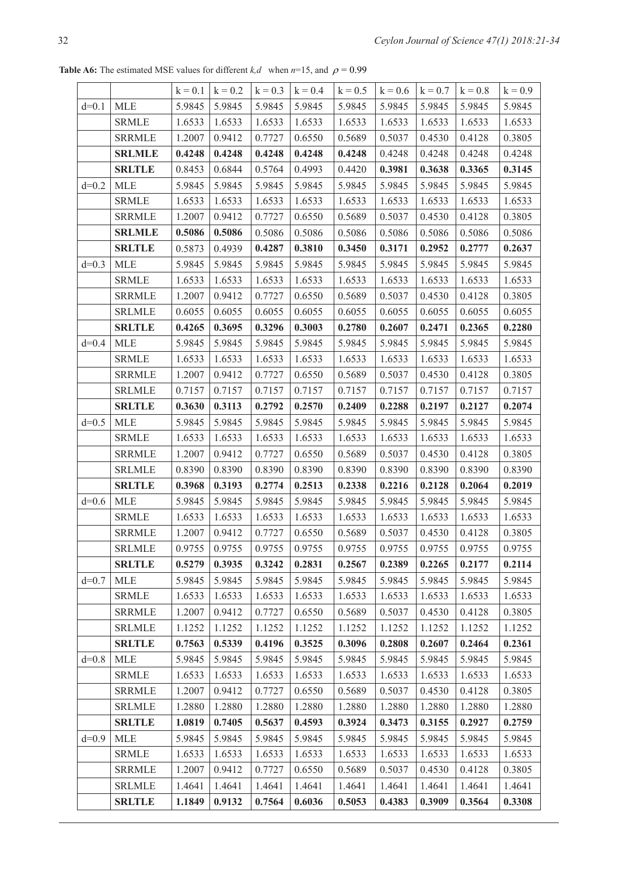**Table A6:** The estimated MSE values for different *k,d* when  $n=15$ , and  $\rho = 0.99$ 

|         |               | $k = 0.1$ | $k = 0.2$       | $k = 0.3$ | $k = 0.4$ | $k = 0.5$ | $k = 0.6$ | $k = 0.7$ | $k = 0.8$ | $k = 0.9$ |
|---------|---------------|-----------|-----------------|-----------|-----------|-----------|-----------|-----------|-----------|-----------|
| $d=0.1$ | <b>MLE</b>    | 5.9845    | 5.9845          | 5.9845    | 5.9845    | 5.9845    | 5.9845    | 5.9845    | 5.9845    | 5.9845    |
|         | <b>SRMLE</b>  | 1.6533    | 1.6533          | 1.6533    | 1.6533    | 1.6533    | 1.6533    | 1.6533    | 1.6533    | 1.6533    |
|         | <b>SRRMLE</b> | 1.2007    | 0.9412          | 0.7727    | 0.6550    | 0.5689    | 0.5037    | 0.4530    | 0.4128    | 0.3805    |
|         | <b>SRLMLE</b> | 0.4248    | 0.4248          | 0.4248    | 0.4248    | 0.4248    | 0.4248    | 0.4248    | 0.4248    | 0.4248    |
|         | <b>SRLTLE</b> | 0.8453    | 0.6844          | 0.5764    | 0.4993    | 0.4420    | 0.3981    | 0.3638    | 0.3365    | 0.3145    |
| $d=0.2$ | <b>MLE</b>    | 5.9845    | 5.9845          | 5.9845    | 5.9845    | 5.9845    | 5.9845    | 5.9845    | 5.9845    | 5.9845    |
|         | <b>SRMLE</b>  | 1.6533    | 1.6533          | 1.6533    | 1.6533    | 1.6533    | 1.6533    | 1.6533    | 1.6533    | 1.6533    |
|         | <b>SRRMLE</b> | 1.2007    | 0.9412          | 0.7727    | 0.6550    | 0.5689    | 0.5037    | 0.4530    | 0.4128    | 0.3805    |
|         | <b>SRLMLE</b> | 0.5086    | 0.5086          | 0.5086    | 0.5086    | 0.5086    | 0.5086    | 0.5086    | 0.5086    | 0.5086    |
|         | <b>SRLTLE</b> | 0.5873    | 0.4939          | 0.4287    | 0.3810    | 0.3450    | 0.3171    | 0.2952    | 0.2777    | 0.2637    |
| $d=0.3$ | <b>MLE</b>    | 5.9845    | 5.9845          | 5.9845    | 5.9845    | 5.9845    | 5.9845    | 5.9845    | 5.9845    | 5.9845    |
|         | <b>SRMLE</b>  | 1.6533    | 1.6533          | 1.6533    | 1.6533    | 1.6533    | 1.6533    | 1.6533    | 1.6533    | 1.6533    |
|         | <b>SRRMLE</b> | 1.2007    | 0.9412          | 0.7727    | 0.6550    | 0.5689    | 0.5037    | 0.4530    | 0.4128    | 0.3805    |
|         | <b>SRLMLE</b> | 0.6055    | 0.6055          | 0.6055    | 0.6055    | 0.6055    | 0.6055    | 0.6055    | 0.6055    | 0.6055    |
|         | <b>SRLTLE</b> | 0.4265    | 0.3695          | 0.3296    | 0.3003    | 0.2780    | 0.2607    | 0.2471    | 0.2365    | 0.2280    |
| $d=0.4$ | <b>MLE</b>    | 5.9845    | 5.9845          | 5.9845    | 5.9845    | 5.9845    | 5.9845    | 5.9845    | 5.9845    | 5.9845    |
|         | <b>SRMLE</b>  | 1.6533    | 1.6533          | 1.6533    | 1.6533    | 1.6533    | 1.6533    | 1.6533    | 1.6533    | 1.6533    |
|         | <b>SRRMLE</b> | 1.2007    | 0.9412          | 0.7727    | 0.6550    | 0.5689    | 0.5037    | 0.4530    | 0.4128    | 0.3805    |
|         | <b>SRLMLE</b> | 0.7157    | 0.7157          | 0.7157    | 0.7157    | 0.7157    | 0.7157    | 0.7157    | 0.7157    | 0.7157    |
|         | <b>SRLTLE</b> | 0.3630    | 0.3113          | 0.2792    | 0.2570    | 0.2409    | 0.2288    | 0.2197    | 0.2127    | 0.2074    |
| $d=0.5$ | <b>MLE</b>    | 5.9845    | 5.9845          | 5.9845    | 5.9845    | 5.9845    | 5.9845    | 5.9845    | 5.9845    | 5.9845    |
|         | <b>SRMLE</b>  | 1.6533    | 1.6533          | 1.6533    | 1.6533    | 1.6533    | 1.6533    | 1.6533    | 1.6533    | 1.6533    |
|         | <b>SRRMLE</b> | 1.2007    | 0.9412          | 0.7727    | 0.6550    | 0.5689    | 0.5037    | 0.4530    | 0.4128    | 0.3805    |
|         | <b>SRLMLE</b> | 0.8390    | 0.8390          | 0.8390    | 0.8390    | 0.8390    | 0.8390    | 0.8390    | 0.8390    | 0.8390    |
|         | <b>SRLTLE</b> | 0.3968    | 0.3193          | 0.2774    | 0.2513    | 0.2338    | 0.2216    | 0.2128    | 0.2064    | 0.2019    |
| $d=0.6$ | <b>MLE</b>    | 5.9845    | 5.9845          | 5.9845    | 5.9845    | 5.9845    | 5.9845    | 5.9845    | 5.9845    | 5.9845    |
|         | <b>SRMLE</b>  | 1.6533    | 1.6533          | 1.6533    | 1.6533    | 1.6533    | 1.6533    | 1.6533    | 1.6533    | 1.6533    |
|         | <b>SRRMLE</b> | 1.2007    | 0.9412          | 0.7727    | 0.6550    | 0.5689    | 0.5037    | 0.4530    | 0.4128    | 0.3805    |
|         | <b>SRLMLE</b> |           | 0.9755   0.9755 | 0.9755    | 0.9755    | 0.9755    | 0.9755    | 0.9755    | 0.9755    | 0.9755    |
|         | <b>SRLTLE</b> | 0.5279    | 0.3935          | 0.3242    | 0.2831    | 0.2567    | 0.2389    | 0.2265    | 0.2177    | 0.2114    |
| $d=0.7$ | <b>MLE</b>    | 5.9845    | 5.9845          | 5.9845    | 5.9845    | 5.9845    | 5.9845    | 5.9845    | 5.9845    | 5.9845    |
|         | <b>SRMLE</b>  | 1.6533    | 1.6533          | 1.6533    | 1.6533    | 1.6533    | 1.6533    | 1.6533    | 1.6533    | 1.6533    |
|         | <b>SRRMLE</b> | 1.2007    | 0.9412          | 0.7727    | 0.6550    | 0.5689    | 0.5037    | 0.4530    | 0.4128    | 0.3805    |
|         | <b>SRLMLE</b> | 1.1252    | 1.1252          | 1.1252    | 1.1252    | 1.1252    | 1.1252    | 1.1252    | 1.1252    | 1.1252    |
|         | <b>SRLTLE</b> | 0.7563    | 0.5339          | 0.4196    | 0.3525    | 0.3096    | 0.2808    | 0.2607    | 0.2464    | 0.2361    |
| $d=0.8$ | <b>MLE</b>    | 5.9845    | 5.9845          | 5.9845    | 5.9845    | 5.9845    | 5.9845    | 5.9845    | 5.9845    | 5.9845    |
|         | <b>SRMLE</b>  | 1.6533    | 1.6533          | 1.6533    | 1.6533    | 1.6533    | 1.6533    | 1.6533    | 1.6533    | 1.6533    |
|         | <b>SRRMLE</b> | 1.2007    | 0.9412          | 0.7727    | 0.6550    | 0.5689    | 0.5037    | 0.4530    | 0.4128    | 0.3805    |
|         | <b>SRLMLE</b> | 1.2880    | 1.2880          | 1.2880    | 1.2880    | 1.2880    | 1.2880    | 1.2880    | 1.2880    | 1.2880    |
|         | <b>SRLTLE</b> | 1.0819    | 0.7405          | 0.5637    | 0.4593    | 0.3924    | 0.3473    | 0.3155    | 0.2927    | 0.2759    |
| $d=0.9$ | <b>MLE</b>    | 5.9845    | 5.9845          | 5.9845    | 5.9845    | 5.9845    | 5.9845    | 5.9845    | 5.9845    | 5.9845    |
|         | <b>SRMLE</b>  | 1.6533    | 1.6533          | 1.6533    | 1.6533    | 1.6533    | 1.6533    | 1.6533    | 1.6533    | 1.6533    |
|         | <b>SRRMLE</b> | 1.2007    | 0.9412          | 0.7727    | 0.6550    | 0.5689    | 0.5037    | 0.4530    | 0.4128    | 0.3805    |
|         | <b>SRLMLE</b> | 1.4641    | 1.4641          | 1.4641    | 1.4641    | 1.4641    | 1.4641    | 1.4641    | 1.4641    | 1.4641    |
|         | <b>SRLTLE</b> | 1.1849    | 0.9132          | 0.7564    | 0.6036    | 0.5053    | 0.4383    | 0.3909    | 0.3564    | 0.3308    |